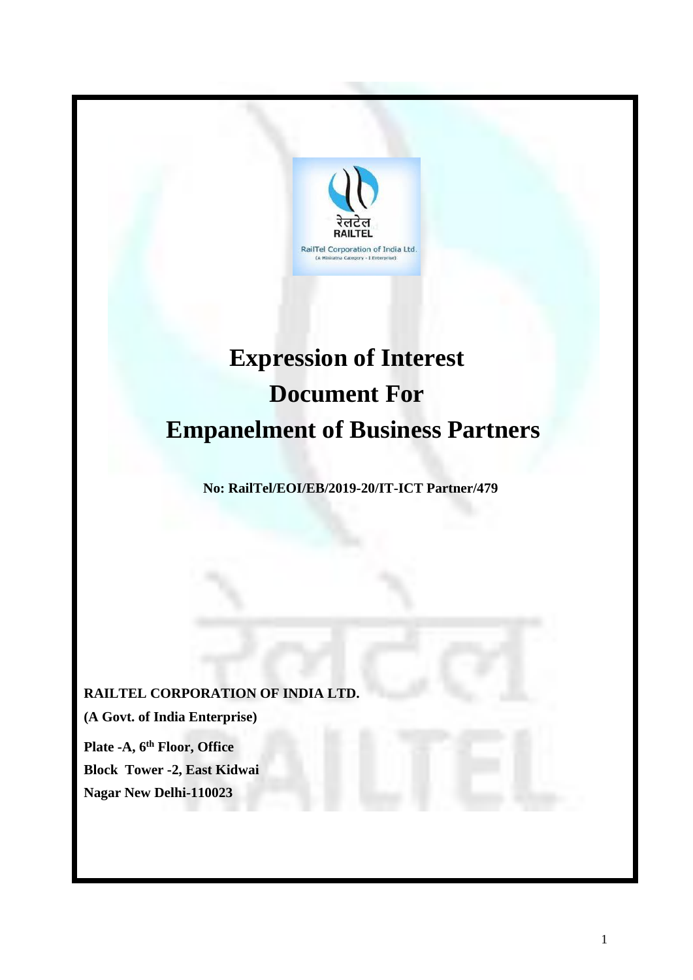

# **Expression of Interest Document For Empanelment of Business Partners**

**No: RailTel/EOI/EB/2019-20/IT-ICT Partner/479**

**RAILTEL CORPORATION OF INDIA LTD. (A Govt. of India Enterprise) Plate -A, 6th Floor, Office Block Tower -2, East Kidwai Nagar New Delhi-110023**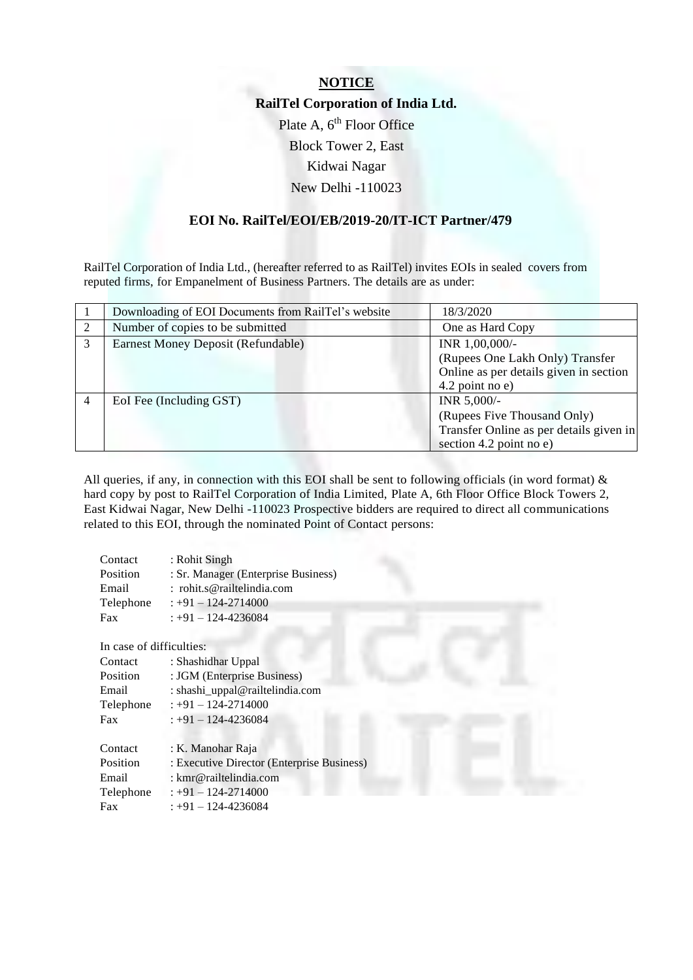## **NOTICE RailTel Corporation of India Ltd.** Plate A,  $6<sup>th</sup>$  Floor Office Block Tower 2, East Kidwai Nagar New Delhi -110023

#### **EOI No. RailTel/EOI/EB/2019-20/IT-ICT Partner/479**

RailTel Corporation of India Ltd., (hereafter referred to as RailTel) invites EOIs in sealed covers from reputed firms, for Empanelment of Business Partners. The details are as under:

| Downloading of EOI Documents from RailTel's website | 18/3/2020                               |  |  |
|-----------------------------------------------------|-----------------------------------------|--|--|
| Number of copies to be submitted                    | One as Hard Copy                        |  |  |
| Earnest Money Deposit (Refundable)                  | INR 1,00,000/-                          |  |  |
|                                                     | (Rupees One Lakh Only) Transfer         |  |  |
|                                                     | Online as per details given in section  |  |  |
|                                                     | 4.2 point no e)                         |  |  |
| EoI Fee (Including GST)                             | INR 5,000/-                             |  |  |
|                                                     | (Rupees Five Thousand Only)             |  |  |
|                                                     | Transfer Online as per details given in |  |  |
|                                                     | section 4.2 point no e)                 |  |  |
|                                                     |                                         |  |  |

All queries, if any, in connection with this EOI shall be sent to following officials (in word format)  $\&$ hard copy by post to RailTel Corporation of India Limited, Plate A, 6th Floor Office Block Towers 2, East Kidwai Nagar, New Delhi -110023 Prospective bidders are required to direct all communications related to this EOI, through the nominated Point of Contact persons:

| : Sr. Manager (Enterprise Business) |
|-------------------------------------|
|                                     |
|                                     |
|                                     |
|                                     |

In case of difficulties:

| Contact   | : Shashidhar Uppal                         |
|-----------|--------------------------------------------|
| Position  | : JGM (Enterprise Business)                |
| Email     | : shashi_uppal@railtelindia.com            |
| Telephone | : +91 - 124-2714000                        |
| Fax       | $: +91 - 124 - 4236084$                    |
|           |                                            |
| Contact   | : K. Manohar Raja                          |
| Position  | : Executive Director (Enterprise Business) |
| Email     | : kmr@railtelindia.com                     |
| Telephone | $: +91 - 124 - 2714000$                    |
| Fax       | : +91 - 124-4236084                        |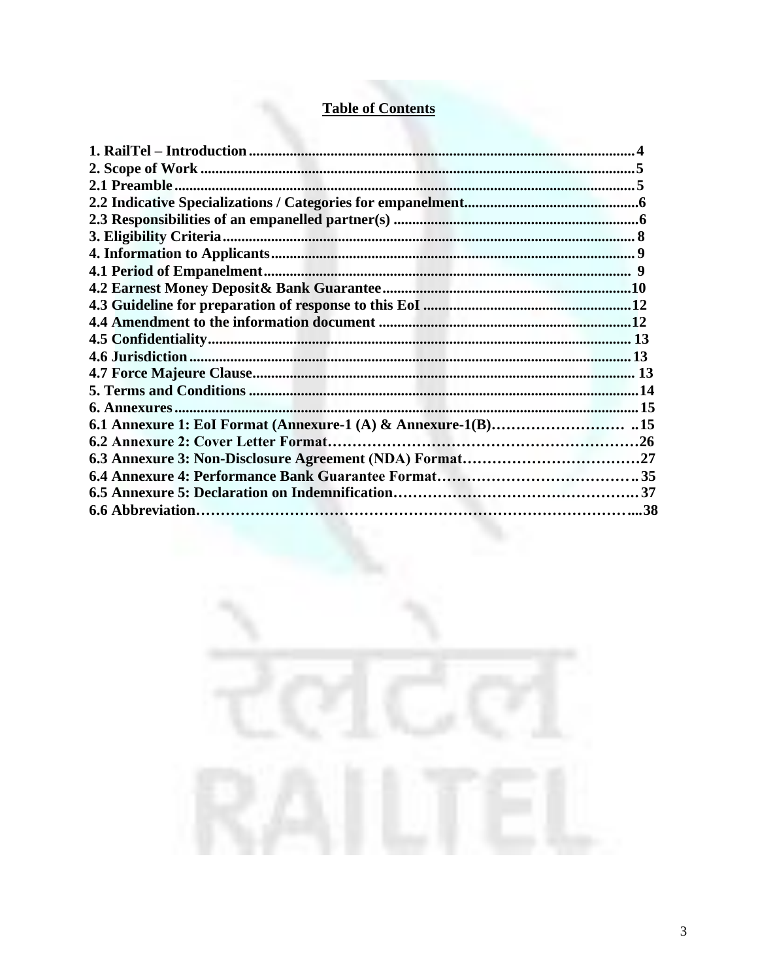## **Table of Contents**

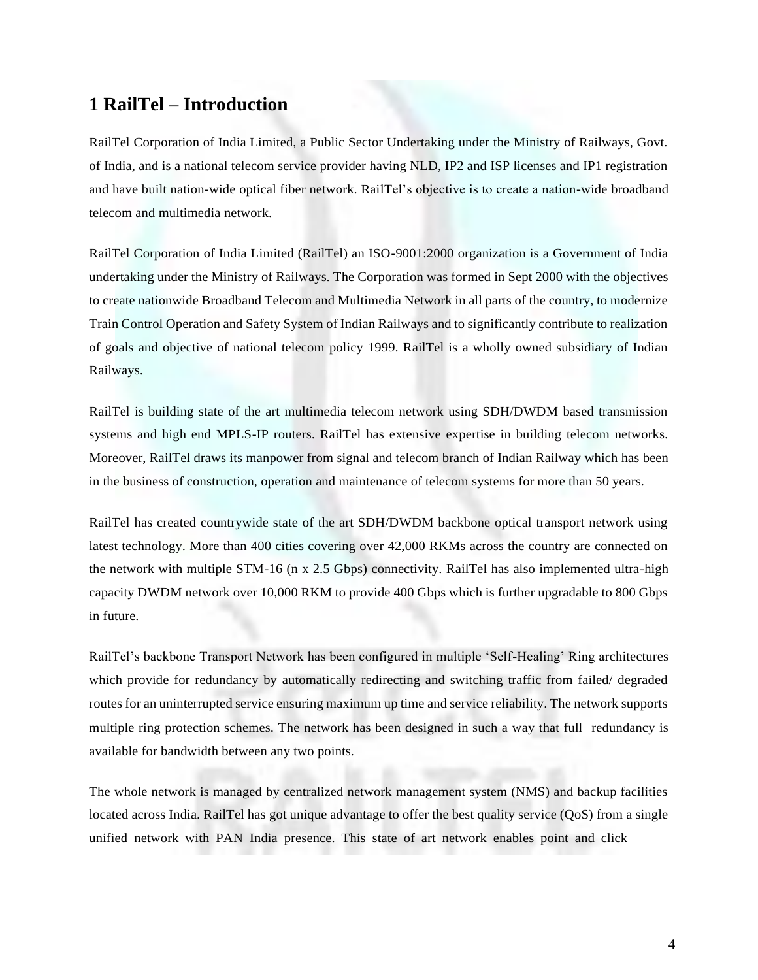## <span id="page-3-0"></span>**1 RailTel – Introduction**

RailTel Corporation of India Limited, a Public Sector Undertaking under the Ministry of Railways, Govt. of India, and is a national telecom service provider having NLD, IP2 and ISP licenses and IP1 registration and have built nation-wide optical fiber network. RailTel's objective is to create a nation-wide broadband telecom and multimedia network.

RailTel Corporation of India Limited (RailTel) an ISO-9001:2000 organization is a Government of India undertaking under the Ministry of Railways. The Corporation was formed in Sept 2000 with the objectives to create nationwide Broadband Telecom and Multimedia Network in all parts of the country, to modernize Train Control Operation and Safety System of Indian Railways and to significantly contribute to realization of goals and objective of national telecom policy 1999. RailTel is a wholly owned subsidiary of Indian Railways.

RailTel is building state of the art multimedia telecom network using SDH/DWDM based transmission systems and high end MPLS-IP routers. RailTel has extensive expertise in building telecom networks. Moreover, RailTel draws its manpower from signal and telecom branch of Indian Railway which has been in the business of construction, operation and maintenance of telecom systems for more than 50 years.

RailTel has created countrywide state of the art SDH/DWDM backbone optical transport network using latest technology. More than 400 cities covering over 42,000 RKMs across the country are connected on the network with multiple STM-16 (n x 2.5 Gbps) connectivity. RailTel has also implemented ultra-high capacity DWDM network over 10,000 RKM to provide 400 Gbps which is further upgradable to 800 Gbps in future.

RailTel's backbone Transport Network has been configured in multiple 'Self-Healing' Ring architectures which provide for redundancy by automatically redirecting and switching traffic from failed/ degraded routes for an uninterrupted service ensuring maximum up time and service reliability. The network supports multiple ring protection schemes. The network has been designed in such a way that full redundancy is available for bandwidth between any two points.

The whole network is managed by centralized network management system (NMS) and backup facilities located across India. RailTel has got unique advantage to offer the best quality service (QoS) from a single unified network with PAN India presence. This state of art network enables point and click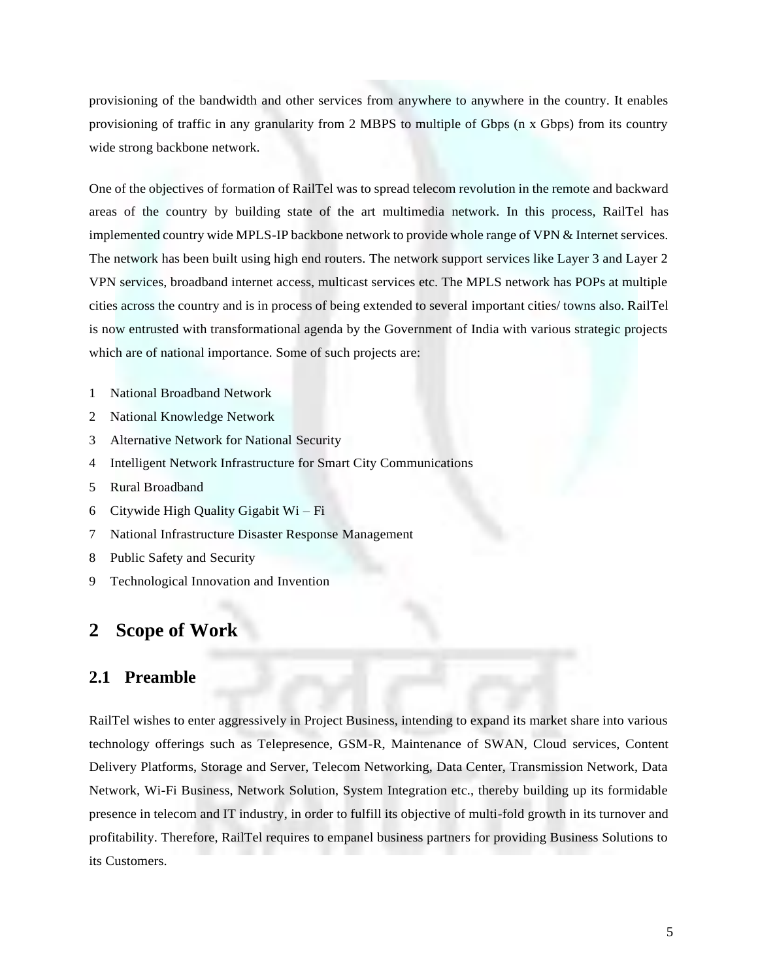provisioning of the bandwidth and other services from anywhere to anywhere in the country. It enables provisioning of traffic in any granularity from 2 MBPS to multiple of Gbps (n x Gbps) from its country wide strong backbone network.

One of the objectives of formation of RailTel was to spread telecom revolution in the remote and backward areas of the country by building state of the art multimedia network. In this process, RailTel has implemented country wide MPLS-IP backbone network to provide whole range of VPN & Internet services. The network has been built using high end routers. The network support services like Layer 3 and Layer 2 VPN services, broadband internet access, multicast services etc. The MPLS network has POPs at multiple cities across the country and is in process of being extended to several important cities/ towns also. RailTel is now entrusted with transformational agenda by the Government of India with various strategic projects which are of national importance. Some of such projects are:

1 National Broadband Network

- 2 National Knowledge Network
- 3 Alternative Network for National Security
- 4 Intelligent Network Infrastructure for Smart City Communications
- 5 Rural Broadband
- 6 Citywide High Quality Gigabit Wi Fi
- 7 National Infrastructure Disaster Response Management
- 8 Public Safety and Security
- 9 Technological Innovation and Invention

## <span id="page-4-0"></span>**2 Scope of Work**

#### <span id="page-4-1"></span>**2.1 Preamble**

RailTel wishes to enter aggressively in Project Business, intending to expand its market share into various technology offerings such as Telepresence, GSM-R, Maintenance of SWAN, Cloud services, Content Delivery Platforms, Storage and Server, Telecom Networking, Data Center, Transmission Network, Data Network, Wi-Fi Business, Network Solution, System Integration etc., thereby building up its formidable presence in telecom and IT industry, in order to fulfill its objective of multi-fold growth in its turnover and profitability. Therefore, RailTel requires to empanel business partners for providing Business Solutions to its Customers.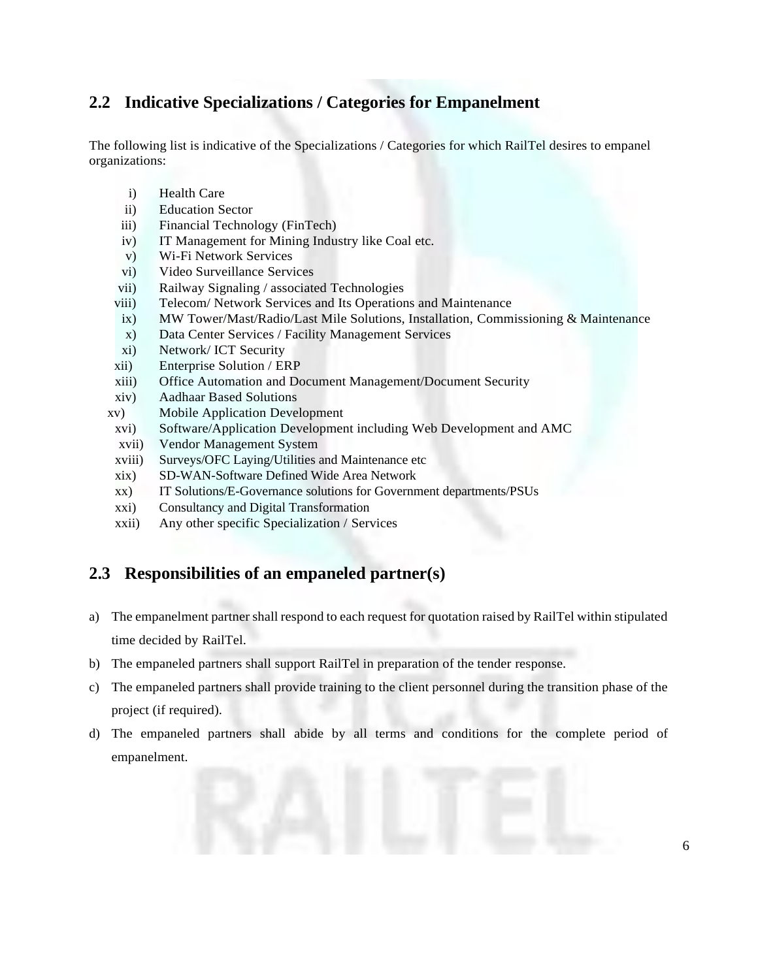## <span id="page-5-0"></span>**2.2 Indicative Specializations / Categories for Empanelment**

The following list is indicative of the Specializations / Categories for which RailTel desires to empanel organizations:

- i) Health Care
- ii) Education Sector
- iii) Financial Technology (FinTech)
- iv) IT Management for Mining Industry like Coal etc.
- v) Wi-Fi Network Services
- vi) Video Surveillance Services
- vii) Railway Signaling / associated Technologies
- viii) Telecom/ Network Services and Its Operations and Maintenance
- ix) MW Tower/Mast/Radio/Last Mile Solutions, Installation, Commissioning & Maintenance
- x) Data Center Services / Facility Management Services
- xi) Network/ ICT Security
- xii) Enterprise Solution / ERP
- xiii) Office Automation and Document Management/Document Security
- xiv) Aadhaar Based Solutions
- xv) Mobile Application Development
- xvi) Software/Application Development including Web Development and AMC
- xvii) Vendor Management System
- xviii) Surveys/OFC Laying/Utilities and Maintenance etc
- xix) SD-WAN-Software Defined Wide Area Network
- xx) IT Solutions/E-Governance solutions for Government departments/PSUs
- xxi) Consultancy and Digital Transformation
- xxii) Any other specific Specialization / Services

### **2.3 Responsibilities of an empaneled partner(s)**

- a) The empanelment partner shall respond to each request for quotation raised by RailTel within stipulated time decided by RailTel.
- b) The empaneled partners shall support RailTel in preparation of the tender response.
- c) The empaneled partners shall provide training to the client personnel during the transition phase of the project (if required).
- d) The empaneled partners shall abide by all terms and conditions for the complete period of empanelment.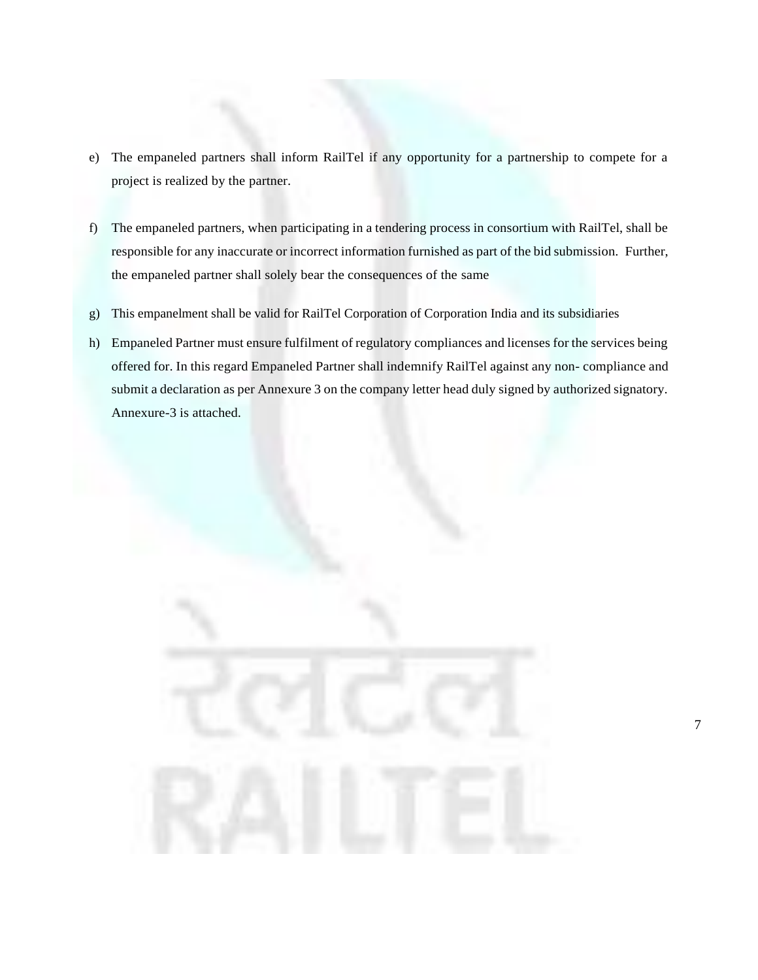- e) The empaneled partners shall inform RailTel if any opportunity for a partnership to compete for a project is realized by the partner.
- f) The empaneled partners, when participating in a tendering process in consortium with RailTel, shall be responsible for any inaccurate or incorrect information furnished as part of the bid submission. Further, the empaneled partner shall solely bear the consequences of the same
- g) This empanelment shall be valid for RailTel Corporation of Corporation India and its subsidiaries
- h) Empaneled Partner must ensure fulfilment of regulatory compliances and licenses for the services being offered for. In this regard Empaneled Partner shall indemnify RailTel against any non- compliance and submit a declaration as per Annexure 3 on the company letter head duly signed by authorized signatory. Annexure-3 is attached.

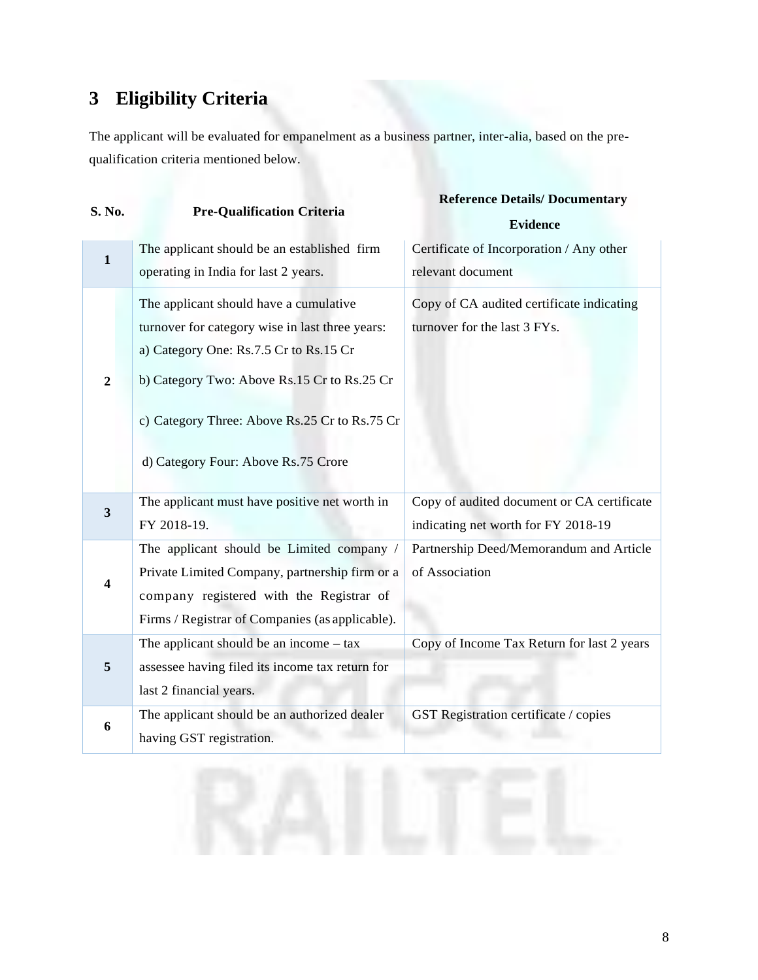## <span id="page-7-0"></span>**3 Eligibility Criteria**

The applicant will be evaluated for empanelment as a business partner, inter-alia, based on the prequalification criteria mentioned below.

| S. No.                  | <b>Pre-Qualification Criteria</b>                                                                                                                                                                                                                                          | <b>Reference Details/Documentary</b><br><b>Evidence</b>                           |  |  |
|-------------------------|----------------------------------------------------------------------------------------------------------------------------------------------------------------------------------------------------------------------------------------------------------------------------|-----------------------------------------------------------------------------------|--|--|
| $\mathbf{1}$            | The applicant should be an established firm<br>operating in India for last 2 years.                                                                                                                                                                                        | Certificate of Incorporation / Any other<br>relevant document                     |  |  |
| $\overline{2}$          | The applicant should have a cumulative<br>turnover for category wise in last three years:<br>a) Category One: Rs.7.5 Cr to Rs.15 Cr<br>b) Category Two: Above Rs.15 Cr to Rs.25 Cr<br>c) Category Three: Above Rs.25 Cr to Rs.75 Cr<br>d) Category Four: Above Rs.75 Crore | Copy of CA audited certificate indicating<br>turnover for the last 3 FYs.         |  |  |
| $\overline{\mathbf{3}}$ | The applicant must have positive net worth in<br>FY 2018-19.                                                                                                                                                                                                               | Copy of audited document or CA certificate<br>indicating net worth for FY 2018-19 |  |  |
| $\overline{\mathbf{4}}$ | The applicant should be Limited company /<br>Private Limited Company, partnership firm or a<br>company registered with the Registrar of<br>Firms / Registrar of Companies (as applicable).                                                                                 | Partnership Deed/Memorandum and Article<br>of Association                         |  |  |
| $\overline{5}$          | The applicant should be an income $-$ tax<br>assessee having filed its income tax return for<br>last 2 financial years.                                                                                                                                                    | Copy of Income Tax Return for last 2 years                                        |  |  |
| 6                       | The applicant should be an authorized dealer<br>having GST registration.                                                                                                                                                                                                   | <b>GST Registration certificate / copies</b>                                      |  |  |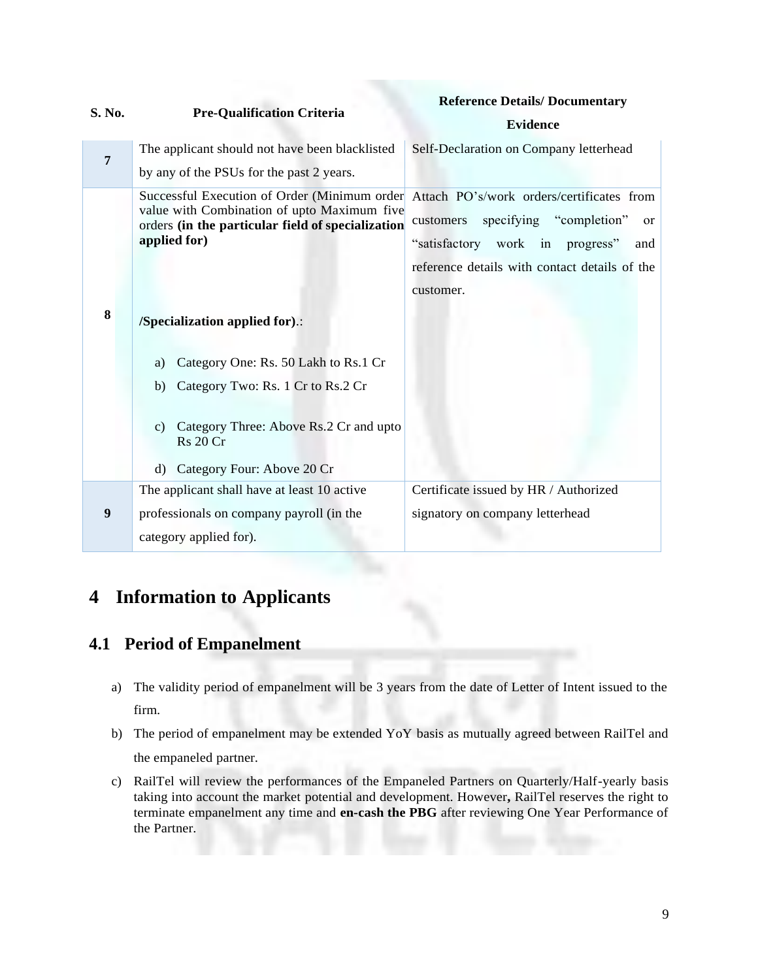|                |                                                                                                                       | <b>Reference Details/Documentary</b><br><b>Evidence</b> |  |  |
|----------------|-----------------------------------------------------------------------------------------------------------------------|---------------------------------------------------------|--|--|
| S. No.         | <b>Pre-Qualification Criteria</b>                                                                                     |                                                         |  |  |
| $\overline{7}$ | The applicant should not have been blacklisted                                                                        | Self-Declaration on Company letterhead                  |  |  |
|                | by any of the PSUs for the past 2 years.                                                                              |                                                         |  |  |
|                | Successful Execution of Order (Minimum order<br>value with Combination of upto Maximum five                           | Attach PO's/work orders/certificates from               |  |  |
|                | orders (in the particular field of specialization                                                                     | specifying "completion"<br>customers<br><sub>or</sub>   |  |  |
|                | applied for)                                                                                                          | "satisfactory work in progress"<br>and                  |  |  |
|                |                                                                                                                       | reference details with contact details of the           |  |  |
|                |                                                                                                                       | customer.                                               |  |  |
| 8              | /Specialization applied for).:                                                                                        |                                                         |  |  |
|                | Category One: Rs. 50 Lakh to Rs.1 Cr<br>a)                                                                            |                                                         |  |  |
|                | Category Two: Rs. 1 Cr to Rs. 2 Cr<br>b)                                                                              |                                                         |  |  |
|                | Category Three: Above Rs.2 Cr and upto<br>$\mathcal{C}$ )<br><b>Rs</b> 20 Cr<br>Category Four: Above 20 Cr<br>$\rm d$ |                                                         |  |  |
|                | The applicant shall have at least 10 active                                                                           | Certificate issued by HR / Authorized                   |  |  |
| 9              | professionals on company payroll (in the                                                                              | signatory on company letterhead                         |  |  |
|                | category applied for).                                                                                                |                                                         |  |  |

## <span id="page-8-0"></span>**4 Information to Applicants**

## <span id="page-8-1"></span>**4.1 Period of Empanelment**

- a) The validity period of empanelment will be 3 years from the date of Letter of Intent issued to the firm.
- b) The period of empanelment may be extended YoY basis as mutually agreed between RailTel and the empaneled partner.
- c) RailTel will review the performances of the Empaneled Partners on Quarterly/Half-yearly basis taking into account the market potential and development. However**,** RailTel reserves the right to terminate empanelment any time and **en-cash the PBG** after reviewing One Year Performance of the Partner.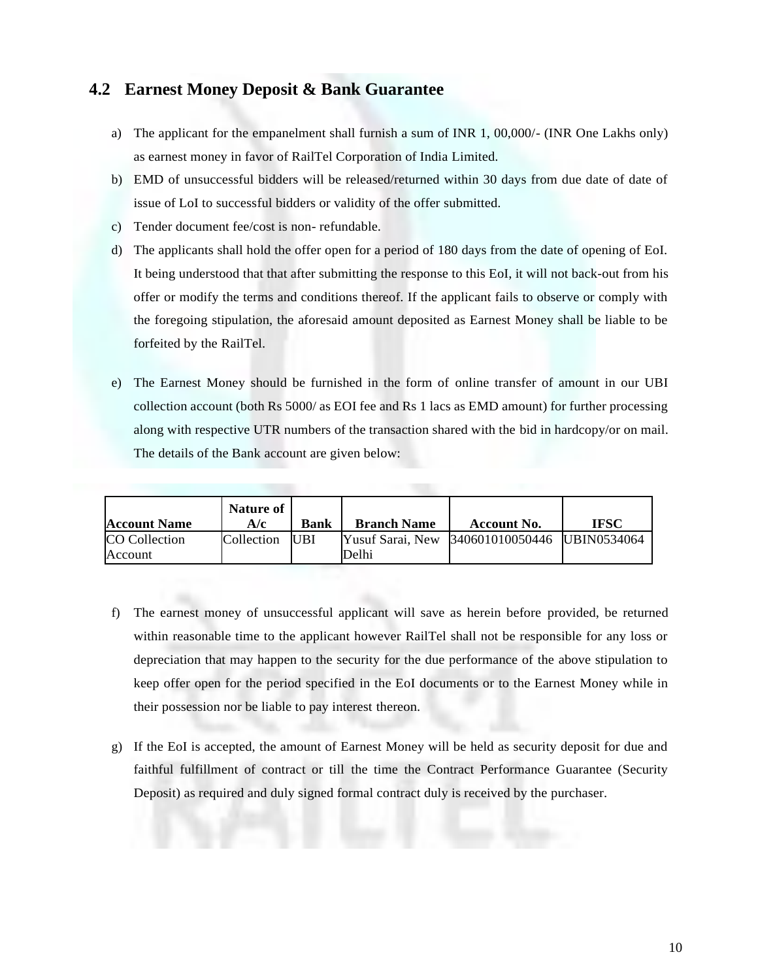#### **4.2 Earnest Money Deposit & Bank Guarantee**

- a) The applicant for the empanelment shall furnish a sum of INR 1, 00,000/- (INR One Lakhs only) as earnest money in favor of RailTel Corporation of India Limited.
- b) EMD of unsuccessful bidders will be released/returned within 30 days from due date of date of issue of LoI to successful bidders or validity of the offer submitted.
- c) Tender document fee/cost is non- refundable.
- d) The applicants shall hold the offer open for a period of 180 days from the date of opening of EoI. It being understood that that after submitting the response to this EoI, it will not back-out from his offer or modify the terms and conditions thereof. If the applicant fails to observe or comply with the foregoing stipulation, the aforesaid amount deposited as Earnest Money shall be liable to be forfeited by the RailTel.
- e) The Earnest Money should be furnished in the form of online transfer of amount in our UBI collection account (both Rs 5000/ as EOI fee and Rs 1 lacs as EMD amount) for further processing along with respective UTR numbers of the transaction shared with the bid in hardcopy/or on mail. The details of the Bank account are given below:

| <b>Account Name</b>             | Nature of<br>A/c | <b>Bank</b> | <b>Branch Name</b> | Account No.                                  | IFSC |
|---------------------------------|------------------|-------------|--------------------|----------------------------------------------|------|
| <b>CO</b> Collection<br>Account | Collection UBI   |             | Delhi              | Yusuf Sarai, New 340601010050446 UBIN0534064 |      |

- f) The earnest money of unsuccessful applicant will save as herein before provided, be returned within reasonable time to the applicant however RailTel shall not be responsible for any loss or depreciation that may happen to the security for the due performance of the above stipulation to keep offer open for the period specified in the EoI documents or to the Earnest Money while in their possession nor be liable to pay interest thereon.
- g) If the EoI is accepted, the amount of Earnest Money will be held as security deposit for due and faithful fulfillment of contract or till the time the Contract Performance Guarantee (Security Deposit) as required and duly signed formal contract duly is received by the purchaser.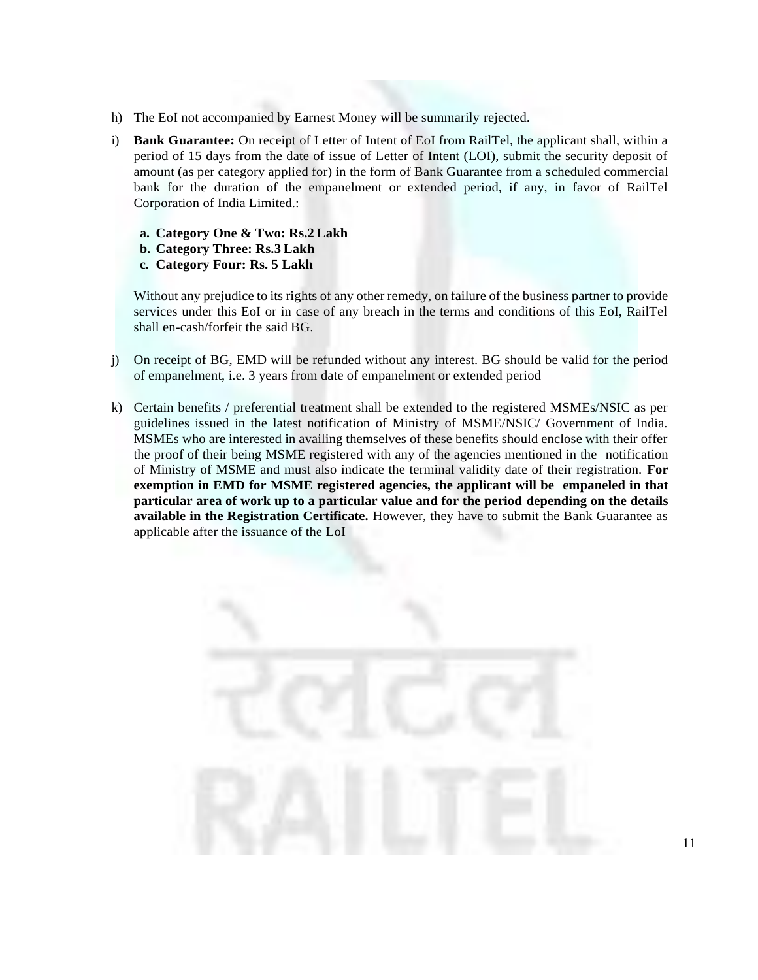- h) The EoI not accompanied by Earnest Money will be summarily rejected.
- i) **Bank Guarantee:** On receipt of Letter of Intent of EoI from RailTel, the applicant shall, within a period of 15 days from the date of issue of Letter of Intent (LOI), submit the security deposit of amount (as per category applied for) in the form of Bank Guarantee from a scheduled commercial bank for the duration of the empanelment or extended period, if any, in favor of RailTel Corporation of India Limited.:
	- **a. Category One & Two: Rs.2 Lakh**
	- **b. Category Three: Rs.3 Lakh**
	- **c. Category Four: Rs. 5 Lakh**

Without any prejudice to its rights of any other remedy, on failure of the business partner to provide services under this EoI or in case of any breach in the terms and conditions of this EoI, RailTel shall en-cash/forfeit the said BG.

- j) On receipt of BG, EMD will be refunded without any interest. BG should be valid for the period of empanelment, i.e. 3 years from date of empanelment or extended period
- k) Certain benefits / preferential treatment shall be extended to the registered MSMEs/NSIC as per guidelines issued in the latest notification of Ministry of MSME/NSIC/ Government of India. MSMEs who are interested in availing themselves of these benefits should enclose with their offer the proof of their being MSME registered with any of the agencies mentioned in the notification of Ministry of MSME and must also indicate the terminal validity date of their registration. **For exemption in EMD for MSME registered agencies, the applicant will be empaneled in that particular area of work up to a particular value and for the period depending on the details available in the Registration Certificate.** However, they have to submit the Bank Guarantee as applicable after the issuance of the LoI

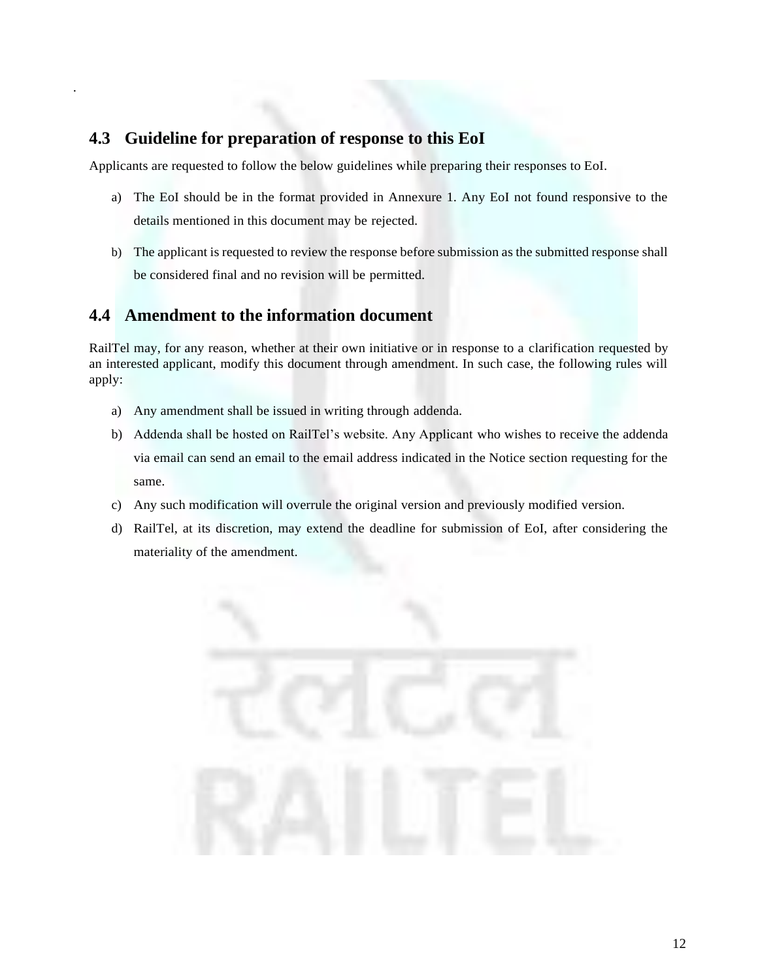### <span id="page-11-0"></span>**4.3 Guideline for preparation of response to this EoI**

.

Applicants are requested to follow the below guidelines while preparing their responses to EoI.

- a) The EoI should be in the format provided in Annexure 1. Any EoI not found responsive to the details mentioned in this document may be rejected.
- b) The applicant is requested to review the response before submission as the submitted response shall be considered final and no revision will be permitted.

### <span id="page-11-1"></span>**4.4 Amendment to the information document**

RailTel may, for any reason, whether at their own initiative or in response to a clarification requested by an interested applicant, modify this document through amendment. In such case, the following rules will apply:

- a) Any amendment shall be issued in writing through addenda.
- b) Addenda shall be hosted on RailTel's website. Any Applicant who wishes to receive the addenda via email can send an email to the email address indicated in the Notice section requesting for the same.
- c) Any such modification will overrule the original version and previously modified version.
- d) RailTel, at its discretion, may extend the deadline for submission of EoI, after considering the materiality of the amendment.

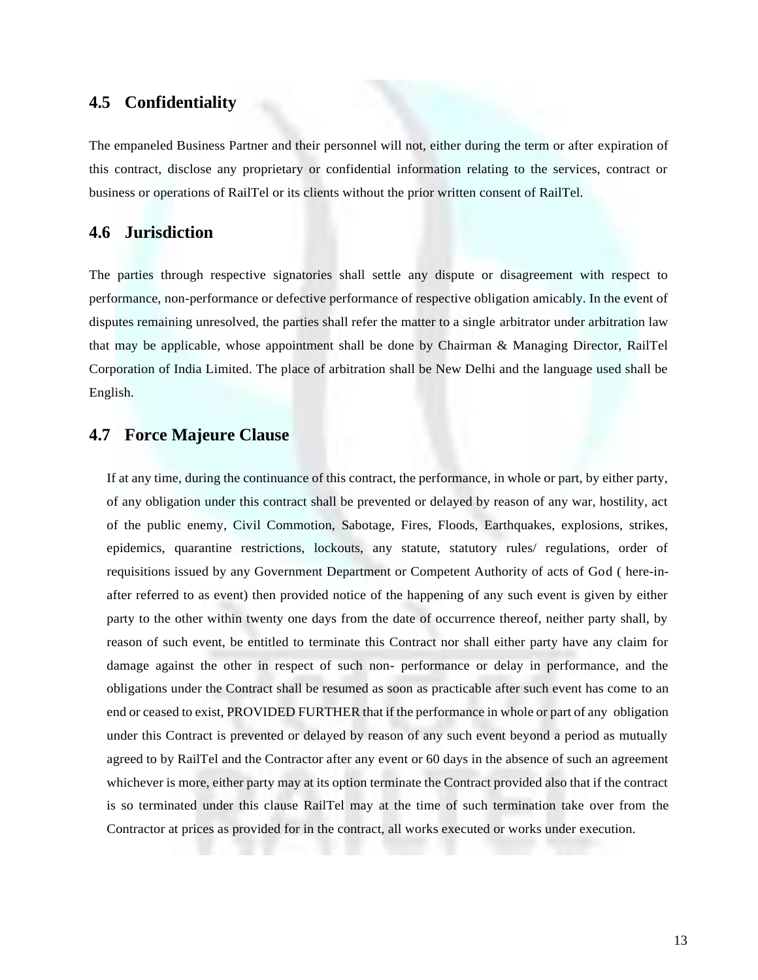#### <span id="page-12-0"></span>**4.5 Confidentiality**

The empaneled Business Partner and their personnel will not, either during the term or after expiration of this contract, disclose any proprietary or confidential information relating to the services, contract or business or operations of RailTel or its clients without the prior written consent of RailTel.

#### <span id="page-12-1"></span>**4.6 Jurisdiction**

The parties through respective signatories shall settle any dispute or disagreement with respect to performance, non-performance or defective performance of respective obligation amicably. In the event of disputes remaining unresolved, the parties shall refer the matter to a single arbitrator under arbitration law that may be applicable, whose appointment shall be done by Chairman & Managing Director, RailTel Corporation of India Limited. The place of arbitration shall be New Delhi and the language used shall be English.

#### <span id="page-12-2"></span>**4.7 Force Majeure Clause**

If at any time, during the continuance of this contract, the performance, in whole or part, by either party, of any obligation under this contract shall be prevented or delayed by reason of any war, hostility, act of the public enemy, Civil Commotion, Sabotage, Fires, Floods, Earthquakes, explosions, strikes, epidemics, quarantine restrictions, lockouts, any statute, statutory rules/ regulations, order of requisitions issued by any Government Department or Competent Authority of acts of God ( here-inafter referred to as event) then provided notice of the happening of any such event is given by either party to the other within twenty one days from the date of occurrence thereof, neither party shall, by reason of such event, be entitled to terminate this Contract nor shall either party have any claim for damage against the other in respect of such non- performance or delay in performance, and the obligations under the Contract shall be resumed as soon as practicable after such event has come to an end or ceased to exist, PROVIDED FURTHER that if the performance in whole or part of any obligation under this Contract is prevented or delayed by reason of any such event beyond a period as mutually agreed to by RailTel and the Contractor after any event or 60 days in the absence of such an agreement whichever is more, either party may at its option terminate the Contract provided also that if the contract is so terminated under this clause RailTel may at the time of such termination take over from the Contractor at prices as provided for in the contract, all works executed or works under execution.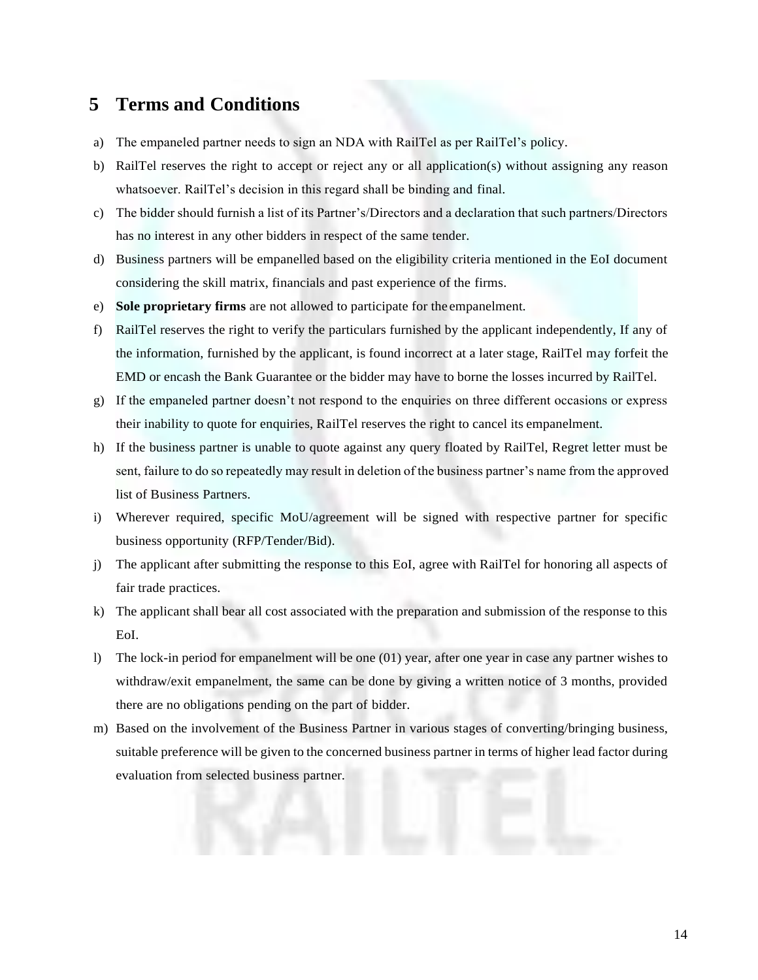## <span id="page-13-0"></span>**5 Terms and Conditions**

- a) The empaneled partner needs to sign an NDA with RailTel as per RailTel's policy.
- b) RailTel reserves the right to accept or reject any or all application(s) without assigning any reason whatsoever. RailTel's decision in this regard shall be binding and final.
- c) The bidder should furnish a list of its Partner's/Directors and a declaration that such partners/Directors has no interest in any other bidders in respect of the same tender.
- d) Business partners will be empanelled based on the eligibility criteria mentioned in the EoI document considering the skill matrix, financials and past experience of the firms.
- e) **Sole proprietary firms** are not allowed to participate for the empanelment.
- f) RailTel reserves the right to verify the particulars furnished by the applicant independently, If any of the information, furnished by the applicant, is found incorrect at a later stage, RailTel may forfeit the EMD or encash the Bank Guarantee or the bidder may have to borne the losses incurred by RailTel.
- g) If the empaneled partner doesn't not respond to the enquiries on three different occasions or express their inability to quote for enquiries, RailTel reserves the right to cancel its empanelment.
- h) If the business partner is unable to quote against any query floated by RailTel, Regret letter must be sent, failure to do so repeatedly may result in deletion of the business partner's name from the approved list of Business Partners.
- i) Wherever required, specific MoU/agreement will be signed with respective partner for specific business opportunity (RFP/Tender/Bid).
- j) The applicant after submitting the response to this EoI, agree with RailTel for honoring all aspects of fair trade practices.
- k) The applicant shall bear all cost associated with the preparation and submission of the response to this EoI.
- l) The lock-in period for empanelment will be one (01) year, after one year in case any partner wishes to withdraw/exit empanelment, the same can be done by giving a written notice of 3 months, provided there are no obligations pending on the part of bidder.
- m) Based on the involvement of the Business Partner in various stages of converting/bringing business, suitable preference will be given to the concerned business partner in terms of higher lead factor during evaluation from selected business partner.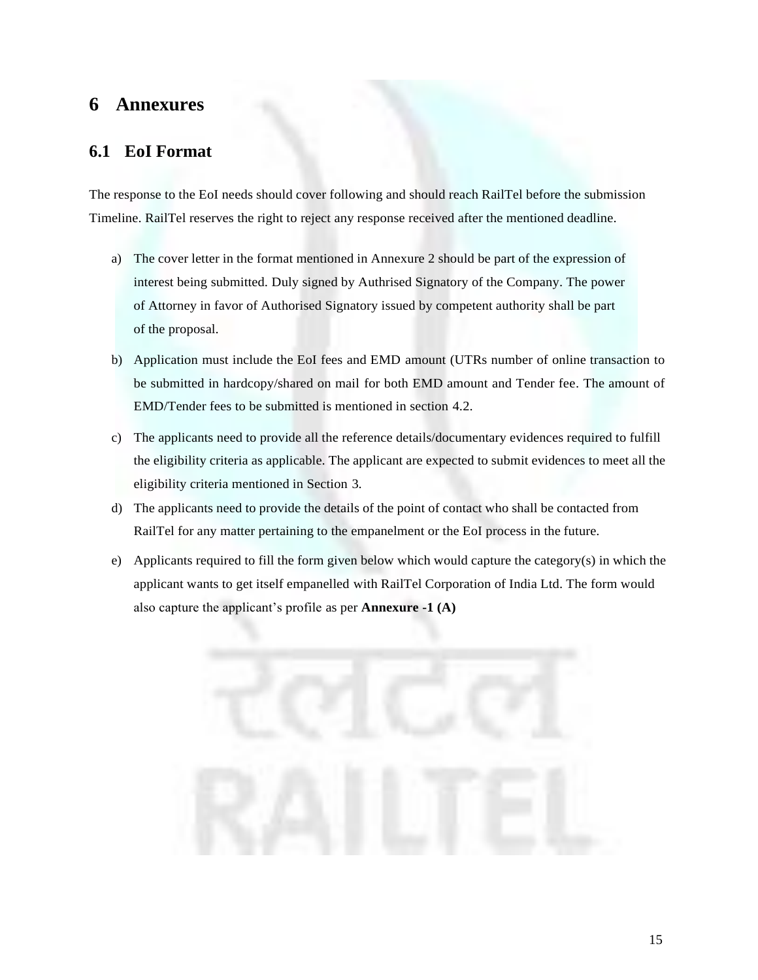## <span id="page-14-0"></span>**6 Annexures**

#### <span id="page-14-1"></span>**6.1 EoI Format**

The response to the EoI needs should cover following and should reach RailTel before the submission Timeline. RailTel reserves the right to reject any response received after the mentioned deadline.

- a) The cover letter in the format mentioned in Annexure 2 should be part of the expression of interest being submitted. Duly signed by Authrised Signatory of the Company. The power of Attorney in favor of Authorised Signatory issued by competent authority shall be part of the proposal.
- b) Application must include the EoI fees and EMD amount (UTRs number of online transaction to be submitted in hardcopy/shared on mail for both EMD amount and Tender fee. The amount of EMD/Tender fees to be submitted is mentioned in section 4.2.
- c) The applicants need to provide all the reference details/documentary evidences required to fulfill the eligibility criteria as applicable. The applicant are expected to submit evidences to meet all the eligibility criteria mentioned in Section 3.
- d) The applicants need to provide the details of the point of contact who shall be contacted from RailTel for any matter pertaining to the empanelment or the EoI process in the future.
- e) Applicants required to fill the form given below which would capture the category(s) in which the applicant wants to get itself empanelled with RailTel Corporation of India Ltd. The form would also capture the applicant's profile as per **Annexure -1 (A)**

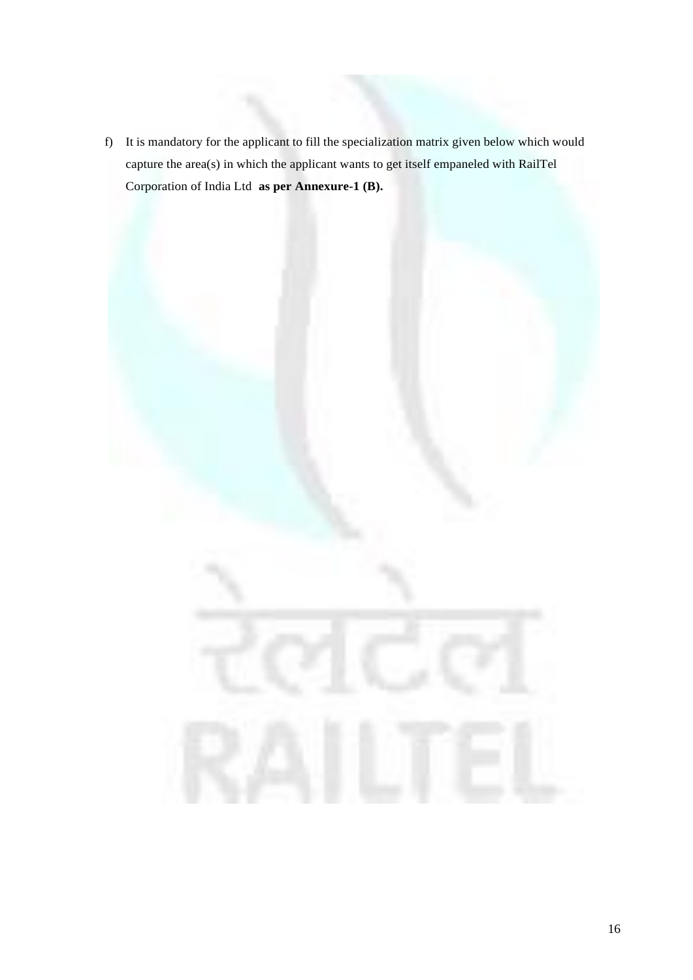f) It is mandatory for the applicant to fill the specialization matrix given below which would capture the area(s) in which the applicant wants to get itself empaneled with RailTel Corporation of India Ltd **as per Annexure-1 (B).**

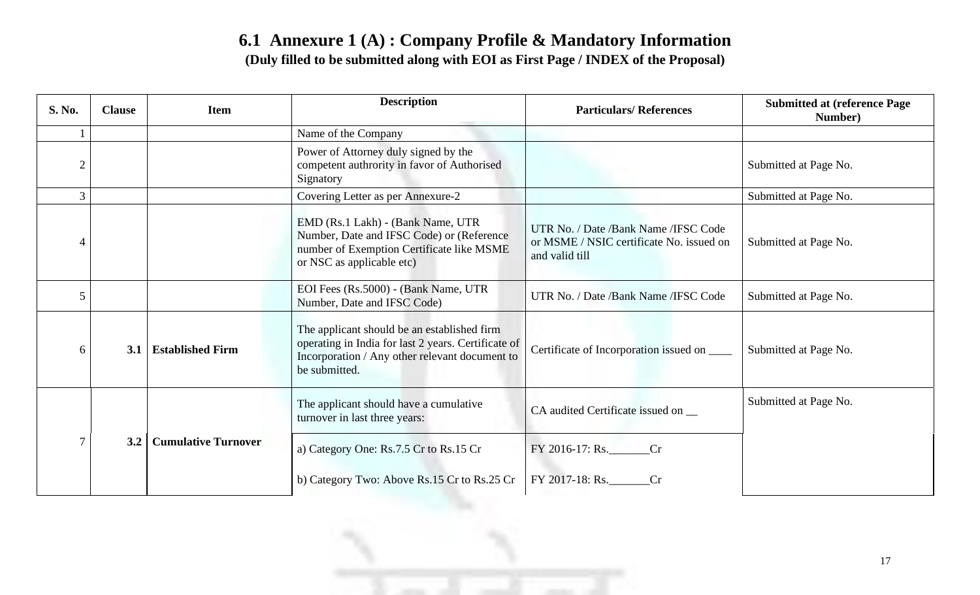## **6.1 Annexure 1 (A) : Company Profile & Mandatory Information (Duly filled to be submitted along with EOI as First Page / INDEX of the Proposal)**

| S. No.         | <b>Clause</b> | <b>Item</b>                | <b>Description</b>                                                                                                                                                    | <b>Particulars/References</b>                                                                       | <b>Submitted at (reference Page)</b><br>Number) |
|----------------|---------------|----------------------------|-----------------------------------------------------------------------------------------------------------------------------------------------------------------------|-----------------------------------------------------------------------------------------------------|-------------------------------------------------|
|                |               |                            | Name of the Company                                                                                                                                                   |                                                                                                     |                                                 |
| $\overline{2}$ |               |                            | Power of Attorney duly signed by the<br>competent authrority in favor of Authorised<br>Signatory                                                                      |                                                                                                     | Submitted at Page No.                           |
| $\mathfrak{Z}$ |               |                            | Covering Letter as per Annexure-2                                                                                                                                     |                                                                                                     | Submitted at Page No.                           |
| 4              |               |                            | EMD (Rs.1 Lakh) - (Bank Name, UTR)<br>Number, Date and IFSC Code) or (Reference<br>number of Exemption Certificate like MSME<br>or NSC as applicable etc)             | UTR No. / Date /Bank Name / IFSC Code<br>or MSME / NSIC certificate No. issued on<br>and valid till | Submitted at Page No.                           |
| 5              |               |                            | EOI Fees (Rs.5000) - (Bank Name, UTR<br>Number, Date and IFSC Code)                                                                                                   | UTR No. / Date /Bank Name / IFSC Code                                                               | Submitted at Page No.                           |
| 6              | 3.1           | <b>Established Firm</b>    | The applicant should be an established firm<br>operating in India for last 2 years. Certificate of<br>Incorporation / Any other relevant document to<br>be submitted. | Certificate of Incorporation issued on ______                                                       | Submitted at Page No.                           |
|                |               |                            | The applicant should have a cumulative<br>turnover in last three years:                                                                                               | CA audited Certificate issued on _                                                                  | Submitted at Page No.                           |
|                | 3.2           | <b>Cumulative Turnover</b> | a) Category One: Rs.7.5 Cr to Rs.15 Cr                                                                                                                                | FY 2016-17: Rs.<br>Cr                                                                               |                                                 |
|                |               |                            | b) Category Two: Above Rs.15 Cr to Rs.25 Cr                                                                                                                           | FY 2017-18: Rs.<br>Cr                                                                               |                                                 |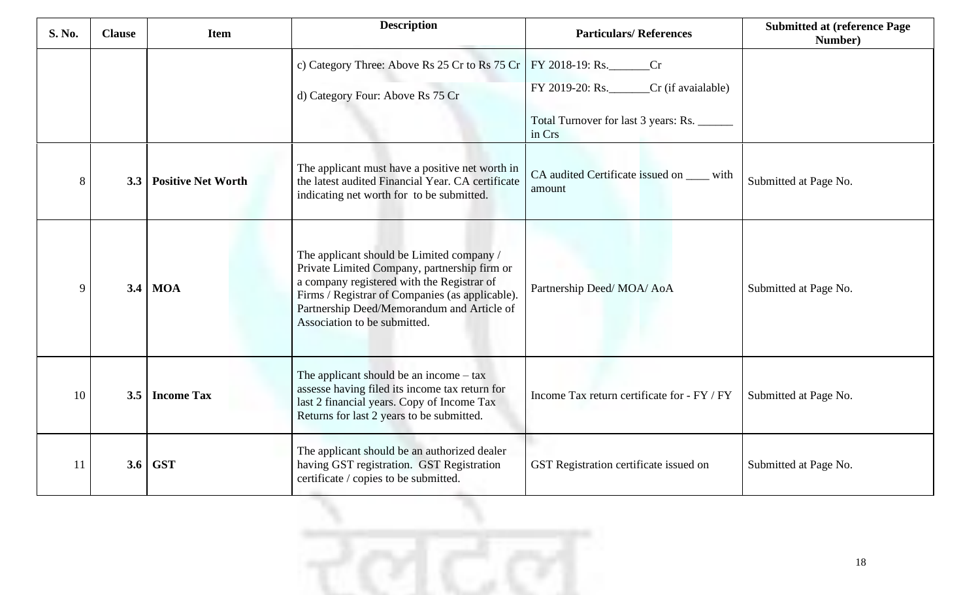| <b>S. No.</b> | <b>Clause</b> | <b>Item</b>               | <b>Description</b>                                                                                                                                                                                                                                                       | <b>Particulars/References</b>                        | <b>Submitted at (reference Page)</b><br>Number) |
|---------------|---------------|---------------------------|--------------------------------------------------------------------------------------------------------------------------------------------------------------------------------------------------------------------------------------------------------------------------|------------------------------------------------------|-------------------------------------------------|
|               |               |                           |                                                                                                                                                                                                                                                                          |                                                      |                                                 |
|               |               |                           | d) Category Four: Above Rs 75 Cr                                                                                                                                                                                                                                         | FY 2019-20: Rs.<br>$Cr$ (if avaialable)              |                                                 |
|               |               |                           |                                                                                                                                                                                                                                                                          | Total Turnover for last 3 years: Rs.<br>in Crs       |                                                 |
| 8             | 3.3           | <b>Positive Net Worth</b> | The applicant must have a positive net worth in<br>the latest audited Financial Year. CA certificate<br>indicating net worth for to be submitted.                                                                                                                        | CA audited Certificate issued on ____ with<br>amount | Submitted at Page No.                           |
| 9             | 3.4           | <b>MOA</b>                | The applicant should be Limited company /<br>Private Limited Company, partnership firm or<br>a company registered with the Registrar of<br>Firms / Registrar of Companies (as applicable).<br>Partnership Deed/Memorandum and Article of<br>Association to be submitted. | Partnership Deed/MOA/AoA                             | Submitted at Page No.                           |
| 10            | 3.5           | <b>Income Tax</b>         | The applicant should be an income $-$ tax<br>assesse having filed its income tax return for<br>last 2 financial years. Copy of Income Tax<br>Returns for last 2 years to be submitted.                                                                                   | Income Tax return certificate for - FY / FY          | Submitted at Page No.                           |
| 11            | 3.6           | <b>GST</b>                | The applicant should be an authorized dealer<br>having GST registration. GST Registration<br>certificate / copies to be submitted.                                                                                                                                       | GST Registration certificate issued on               | Submitted at Page No.                           |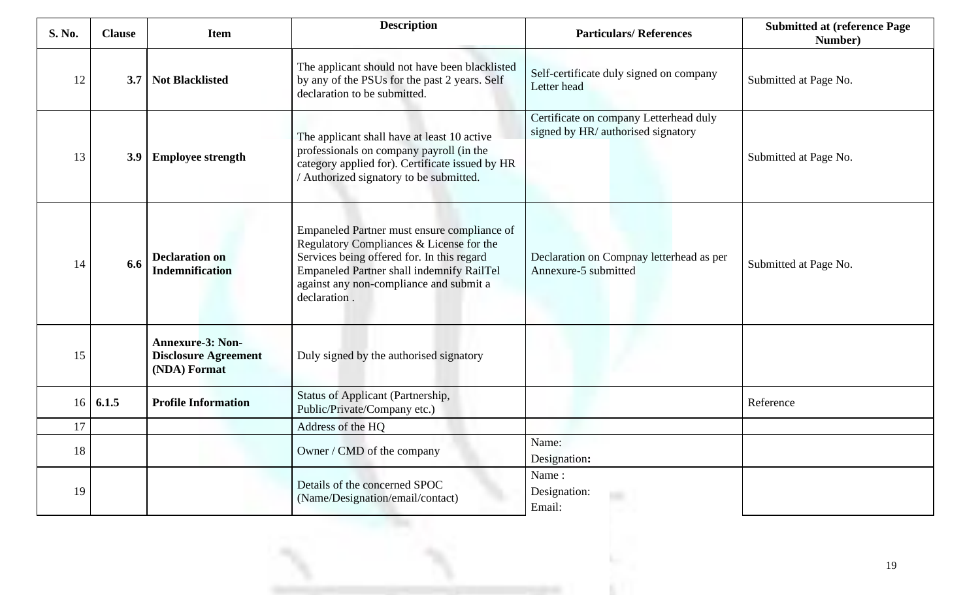| S. No. | <b>Clause</b> | <b>Item</b>                                                            | <b>Description</b>                                                                                                                                                                                                                                   | <b>Particulars/References</b>                                                | <b>Submitted at (reference Page)</b><br>Number) |
|--------|---------------|------------------------------------------------------------------------|------------------------------------------------------------------------------------------------------------------------------------------------------------------------------------------------------------------------------------------------------|------------------------------------------------------------------------------|-------------------------------------------------|
| 12     | 3.7           | <b>Not Blacklisted</b>                                                 | The applicant should not have been blacklisted<br>by any of the PSUs for the past 2 years. Self<br>declaration to be submitted.                                                                                                                      | Self-certificate duly signed on company<br>Letter head                       | Submitted at Page No.                           |
| 13     | 3.9           | <b>Employee strength</b>                                               | The applicant shall have at least 10 active<br>professionals on company payroll (in the<br>category applied for). Certificate issued by HR<br>/ Authorized signatory to be submitted.                                                                | Certificate on company Letterhead duly<br>signed by HR/ authorised signatory | Submitted at Page No.                           |
| 14     | 6.6           | <b>Declaration on</b><br><b>Indemnification</b>                        | Empaneled Partner must ensure compliance of<br>Regulatory Compliances & License for the<br>Services being offered for. In this regard<br><b>Empaneled Partner shall indemnify RailTel</b><br>against any non-compliance and submit a<br>declaration. | Declaration on Compnay letterhead as per<br>Annexure-5 submitted             | Submitted at Page No.                           |
| 15     |               | <b>Annexure-3: Non-</b><br><b>Disclosure Agreement</b><br>(NDA) Format | Duly signed by the authorised signatory                                                                                                                                                                                                              |                                                                              |                                                 |
| 16     | 6.1.5         | <b>Profile Information</b>                                             | Status of Applicant (Partnership,<br>Public/Private/Company etc.)                                                                                                                                                                                    |                                                                              | Reference                                       |
| 17     |               |                                                                        | Address of the HQ                                                                                                                                                                                                                                    |                                                                              |                                                 |
| 18     |               |                                                                        | Owner / CMD of the company                                                                                                                                                                                                                           | Name:<br>Designation:                                                        |                                                 |
| 19     |               |                                                                        | Details of the concerned SPOC<br>(Name/Designation/email/contact)                                                                                                                                                                                    | Name:<br>Designation:<br>Email:                                              |                                                 |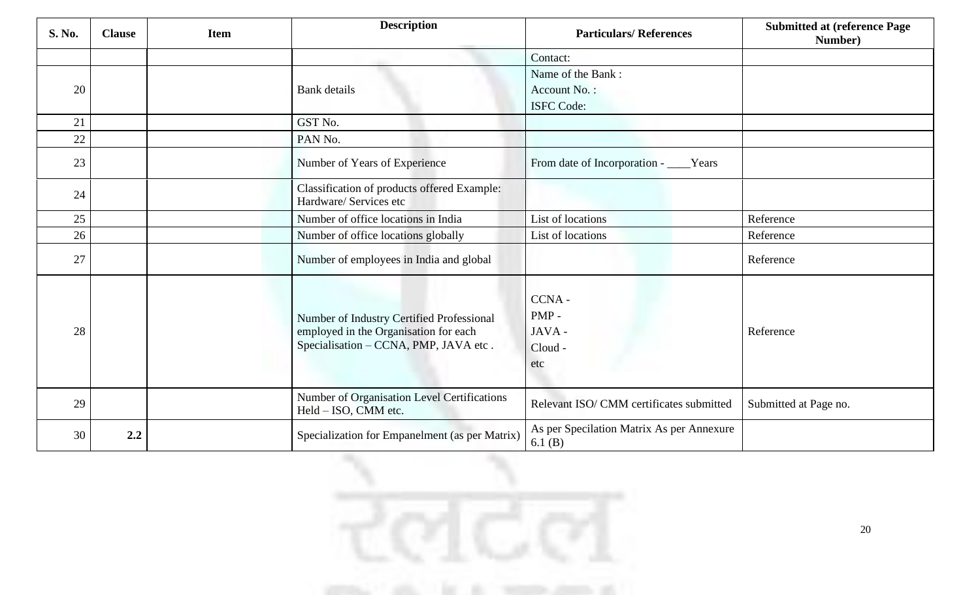| S. No. | <b>Clause</b> | <b>Item</b> | <b>Description</b>                                                                                                          | <b>Particulars/References</b>                       | <b>Submitted at (reference Page)</b><br>Number) |
|--------|---------------|-------------|-----------------------------------------------------------------------------------------------------------------------------|-----------------------------------------------------|-------------------------------------------------|
|        |               |             |                                                                                                                             | Contact:                                            |                                                 |
|        |               |             |                                                                                                                             | Name of the Bank:                                   |                                                 |
| 20     |               |             | <b>Bank</b> details                                                                                                         | Account No.:                                        |                                                 |
|        |               |             |                                                                                                                             | <b>ISFC Code:</b>                                   |                                                 |
| 21     |               |             | GST No.                                                                                                                     |                                                     |                                                 |
| 22     |               |             | PAN No.                                                                                                                     |                                                     |                                                 |
| 23     |               |             | Number of Years of Experience                                                                                               | From date of Incorporation - ____Years              |                                                 |
| 24     |               |             | Classification of products offered Example:<br>Hardware/ Services etc                                                       |                                                     |                                                 |
| 25     |               |             | Number of office locations in India                                                                                         | List of locations                                   | Reference                                       |
| 26     |               |             | Number of office locations globally                                                                                         | List of locations                                   | Reference                                       |
| 27     |               |             | Number of employees in India and global                                                                                     |                                                     | Reference                                       |
| 28     |               |             | Number of Industry Certified Professional<br>employed in the Organisation for each<br>Specialisation - CCNA, PMP, JAVA etc. | CCNA-<br>PMP-<br>JAVA-<br>Cloud -<br>etc            | Reference                                       |
| 29     |               |             | Number of Organisation Level Certifications<br>Held - ISO, CMM etc.                                                         | Relevant ISO/ CMM certificates submitted            | Submitted at Page no.                           |
| 30     | 2.2           |             | Specialization for Empanelment (as per Matrix)                                                                              | As per Specilation Matrix As per Annexure<br>6.1(B) |                                                 |

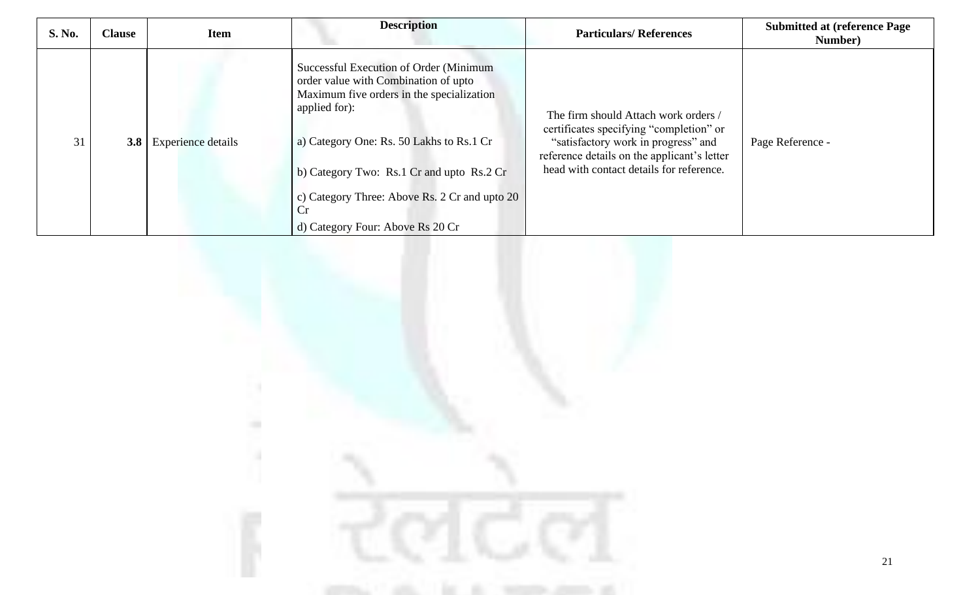| <b>S. No.</b> | <b>Clause</b> | <b>Item</b>        | <b>Description</b>                                                                                                                                                                                                                                                                                                                | <b>Particulars/References</b>                                                                                                                                                                                     | <b>Submitted at (reference Page)</b><br>Number) |
|---------------|---------------|--------------------|-----------------------------------------------------------------------------------------------------------------------------------------------------------------------------------------------------------------------------------------------------------------------------------------------------------------------------------|-------------------------------------------------------------------------------------------------------------------------------------------------------------------------------------------------------------------|-------------------------------------------------|
| 31            | 3.8           | Experience details | Successful Execution of Order (Minimum)<br>order value with Combination of upto<br>Maximum five orders in the specialization<br>applied for):<br>a) Category One: Rs. 50 Lakhs to Rs.1 Cr<br>b) Category Two: Rs.1 Cr and upto Rs.2 Cr<br>c) Category Three: Above Rs. 2 Cr and upto 20<br>Cr<br>d) Category Four: Above Rs 20 Cr | The firm should Attach work orders /<br>certificates specifying "completion" or<br>"satisfactory work in progress" and<br>reference details on the applicant's letter<br>head with contact details for reference. | Page Reference -                                |

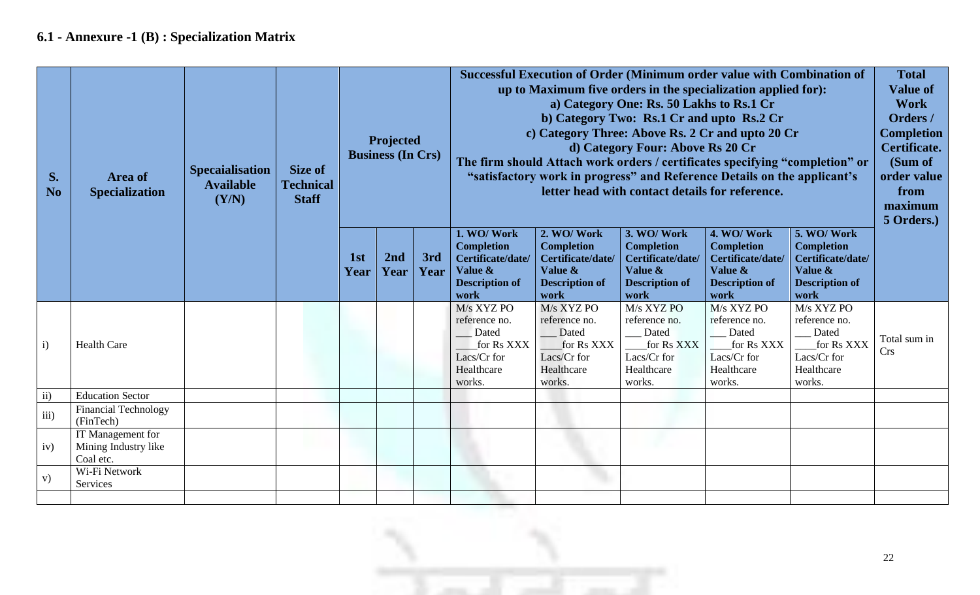## **6.1 - Annexure -1 (B) : Specialization Matrix**

| S.<br>N <sub>o</sub> | Area of<br><b>Specialization</b>                       | <b>Specaialisation</b><br><b>Available</b><br>(Y/N) | <b>Size of</b><br><b>Technical</b><br><b>Staff</b> | Projected<br><b>Business (In Crs)</b> |             |             | Successful Execution of Order (Minimum order value with Combination of<br>up to Maximum five orders in the specialization applied for):<br>c) Category Three: Above Rs. 2 Cr and upto 20 Cr<br>The firm should Attach work orders / certificates specifying "completion" or<br>"satisfactory work in progress" and Reference Details on the applicant's | <b>Total</b><br><b>Value of</b><br><b>Work</b><br>Orders /<br><b>Completion</b><br>Certificate.<br>(Sum of<br>order value<br>from<br>maximum<br>5 Orders.) |                                                                                                  |                                                                                                  |                                                                                                  |                            |
|----------------------|--------------------------------------------------------|-----------------------------------------------------|----------------------------------------------------|---------------------------------------|-------------|-------------|---------------------------------------------------------------------------------------------------------------------------------------------------------------------------------------------------------------------------------------------------------------------------------------------------------------------------------------------------------|------------------------------------------------------------------------------------------------------------------------------------------------------------|--------------------------------------------------------------------------------------------------|--------------------------------------------------------------------------------------------------|--------------------------------------------------------------------------------------------------|----------------------------|
|                      |                                                        |                                                     |                                                    | 1st<br>Year                           | 2nd<br>Year | 3rd<br>Year | 1. WO/Work<br><b>Completion</b><br>Certificate/date/<br>Value &<br><b>Description of</b><br>work                                                                                                                                                                                                                                                        | 2. WO/Work<br><b>Completion</b><br>Certificate/date/<br>Value &<br><b>Description of</b><br>work                                                           | 3. WO/Work<br><b>Completion</b><br>Certificate/date/<br>Value &<br><b>Description of</b><br>work | 4. WO/Work<br><b>Completion</b><br>Certificate/date/<br>Value &<br><b>Description of</b><br>work | 5. WO/Work<br><b>Completion</b><br>Certificate/date/<br>Value &<br><b>Description of</b><br>work |                            |
| $\mathbf{i}$         | <b>Health Care</b>                                     |                                                     |                                                    |                                       |             |             | M/s XYZ PO<br>reference no.<br>Dated<br>for Rs XXX<br>Lacs/Cr for<br>Healthcare<br>works.                                                                                                                                                                                                                                                               | M/s XYZ PO<br>reference no.<br>Dated<br>for Rs XXX<br>Lacs/Cr for<br>Healthcare<br>works.                                                                  | M/s XYZ PO<br>reference no.<br>Dated<br>for Rs XXX<br>Lacs/Cr for<br>Healthcare<br>works.        | M/s XYZ PO<br>reference no.<br>Dated<br>for Rs XXX<br>Lacs/Cr for<br>Healthcare<br>works.        | $M/s$ XYZ PO<br>reference no.<br>Dated<br>for Rs XXX<br>Lacs/Cr for<br>Healthcare<br>works.      | Total sum in<br><b>Crs</b> |
| $\mathbf{ii}$        | <b>Education Sector</b>                                |                                                     |                                                    |                                       |             |             |                                                                                                                                                                                                                                                                                                                                                         |                                                                                                                                                            |                                                                                                  |                                                                                                  |                                                                                                  |                            |
| iii)                 | <b>Financial Technology</b><br>(FinTech)               |                                                     |                                                    |                                       |             |             |                                                                                                                                                                                                                                                                                                                                                         |                                                                                                                                                            |                                                                                                  |                                                                                                  |                                                                                                  |                            |
| iv)                  | IT Management for<br>Mining Industry like<br>Coal etc. |                                                     |                                                    |                                       |             |             |                                                                                                                                                                                                                                                                                                                                                         |                                                                                                                                                            |                                                                                                  |                                                                                                  |                                                                                                  |                            |
| V)                   | Wi-Fi Network<br>Services                              |                                                     |                                                    |                                       |             |             |                                                                                                                                                                                                                                                                                                                                                         |                                                                                                                                                            |                                                                                                  |                                                                                                  |                                                                                                  |                            |
|                      |                                                        |                                                     |                                                    |                                       |             |             |                                                                                                                                                                                                                                                                                                                                                         |                                                                                                                                                            |                                                                                                  |                                                                                                  |                                                                                                  |                            |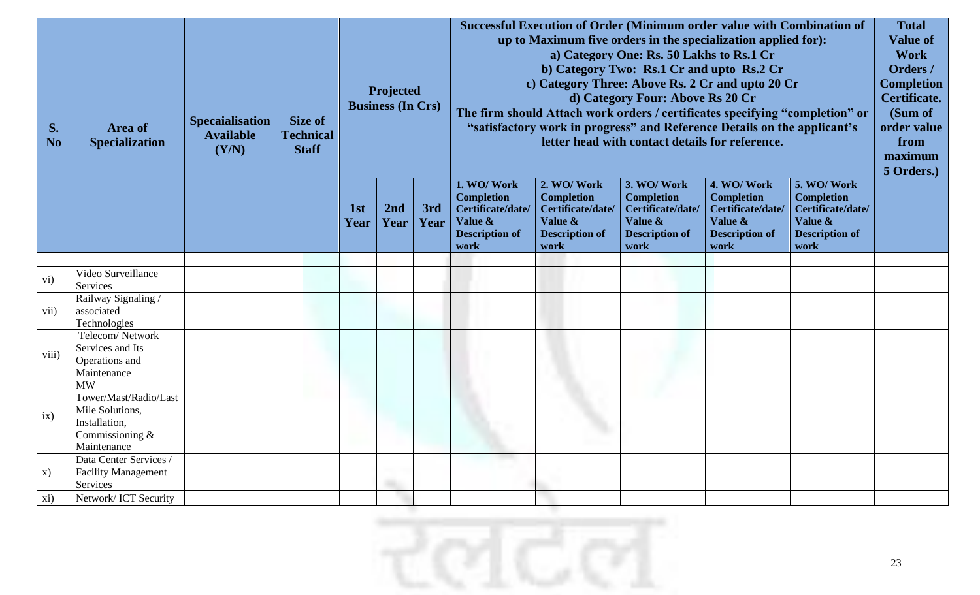| S.<br>N <sub>o</sub> | Area of<br><b>Specialization</b>                                                                         | <b>Specaialisation</b><br><b>Available</b><br>(Y/N) | Size of<br><b>Technical</b><br><b>Staff</b> |             | Projected<br><b>Business (In Crs)</b> |             | Successful Execution of Order (Minimum order value with Combination of<br>up to Maximum five orders in the specialization applied for):<br>a) Category One: Rs. 50 Lakhs to Rs.1 Cr<br>b) Category Two: Rs.1 Cr and upto Rs.2 Cr<br>c) Category Three: Above Rs. 2 Cr and upto 20 Cr<br>d) Category Four: Above Rs 20 Cr<br>The firm should Attach work orders / certificates specifying "completion" or<br>"satisfactory work in progress" and Reference Details on the applicant's<br>letter head with contact details for reference. |                                                                                                  |                                                                                                  |                                                                                                  |                                                                                                  |  |
|----------------------|----------------------------------------------------------------------------------------------------------|-----------------------------------------------------|---------------------------------------------|-------------|---------------------------------------|-------------|-----------------------------------------------------------------------------------------------------------------------------------------------------------------------------------------------------------------------------------------------------------------------------------------------------------------------------------------------------------------------------------------------------------------------------------------------------------------------------------------------------------------------------------------|--------------------------------------------------------------------------------------------------|--------------------------------------------------------------------------------------------------|--------------------------------------------------------------------------------------------------|--------------------------------------------------------------------------------------------------|--|
|                      |                                                                                                          |                                                     |                                             | 1st<br>Year | 2nd<br>Year                           | 3rd<br>Year | 1. WO/Work<br><b>Completion</b><br>Certificate/date/<br>Value &<br><b>Description of</b><br>work                                                                                                                                                                                                                                                                                                                                                                                                                                        | 2. WO/Work<br><b>Completion</b><br>Certificate/date/<br>Value &<br><b>Description of</b><br>work | 3. WO/Work<br><b>Completion</b><br>Certificate/date/<br>Value &<br><b>Description of</b><br>work | 4. WO/Work<br><b>Completion</b><br>Certificate/date/<br>Value &<br><b>Description of</b><br>work | 5. WO/Work<br><b>Completion</b><br>Certificate/date/<br>Value &<br><b>Description of</b><br>work |  |
| vi)                  | Video Surveillance<br>Services                                                                           |                                                     |                                             |             |                                       |             |                                                                                                                                                                                                                                                                                                                                                                                                                                                                                                                                         |                                                                                                  |                                                                                                  |                                                                                                  |                                                                                                  |  |
| vii)                 | Railway Signaling /<br>associated<br>Technologies                                                        |                                                     |                                             |             |                                       |             |                                                                                                                                                                                                                                                                                                                                                                                                                                                                                                                                         |                                                                                                  |                                                                                                  |                                                                                                  |                                                                                                  |  |
| viii)                | Telecom/Network<br>Services and Its<br>Operations and<br>Maintenance                                     |                                                     |                                             |             |                                       |             |                                                                                                                                                                                                                                                                                                                                                                                                                                                                                                                                         |                                                                                                  |                                                                                                  |                                                                                                  |                                                                                                  |  |
| ix)                  | <b>MW</b><br>Tower/Mast/Radio/Last<br>Mile Solutions,<br>Installation,<br>Commissioning &<br>Maintenance |                                                     |                                             |             |                                       |             |                                                                                                                                                                                                                                                                                                                                                                                                                                                                                                                                         |                                                                                                  |                                                                                                  |                                                                                                  |                                                                                                  |  |
| X)                   | Data Center Services /<br><b>Facility Management</b><br>Services                                         |                                                     |                                             |             |                                       |             |                                                                                                                                                                                                                                                                                                                                                                                                                                                                                                                                         |                                                                                                  |                                                                                                  |                                                                                                  |                                                                                                  |  |
| xi)                  | Network/ICT Security                                                                                     |                                                     |                                             |             |                                       |             |                                                                                                                                                                                                                                                                                                                                                                                                                                                                                                                                         |                                                                                                  |                                                                                                  |                                                                                                  |                                                                                                  |  |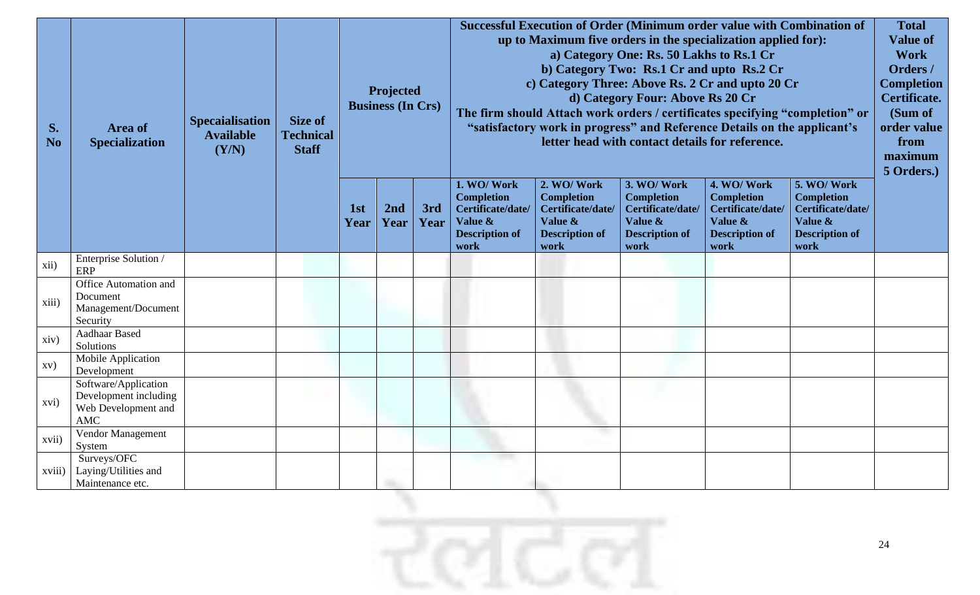|                         |                                                                                    |                                                     |                                  |                         |                                       |             | Successful Execution of Order (Minimum order value with Combination of<br>up to Maximum five orders in the specialization applied for):                                                                                                                                                                                                   |                                                                                                  |                                                                                                  |                                                                                                  |                                                                                                  |                                                                                                           |
|-------------------------|------------------------------------------------------------------------------------|-----------------------------------------------------|----------------------------------|-------------------------|---------------------------------------|-------------|-------------------------------------------------------------------------------------------------------------------------------------------------------------------------------------------------------------------------------------------------------------------------------------------------------------------------------------------|--------------------------------------------------------------------------------------------------|--------------------------------------------------------------------------------------------------|--------------------------------------------------------------------------------------------------|--------------------------------------------------------------------------------------------------|-----------------------------------------------------------------------------------------------------------|
| S.                      | Area of<br><b>Specialization</b>                                                   | <b>Specaialisation</b><br><b>Available</b><br>(Y/N) | <b>Size of</b>                   |                         | Projected<br><b>Business (In Crs)</b> |             | a) Category One: Rs. 50 Lakhs to Rs.1 Cr<br>b) Category Two: Rs.1 Cr and upto Rs.2 Cr<br>c) Category Three: Above Rs. 2 Cr and upto 20 Cr<br>d) Category Four: Above Rs 20 Cr<br>The firm should Attach work orders / certificates specifying "completion" or<br>"satisfactory work in progress" and Reference Details on the applicant's |                                                                                                  |                                                                                                  |                                                                                                  |                                                                                                  | <b>Value of</b><br><b>Work</b><br>Orders /<br><b>Completion</b><br>Certificate.<br>(Sum of<br>order value |
| N <sub>o</sub>          |                                                                                    |                                                     | <b>Technical</b><br><b>Staff</b> |                         |                                       |             | letter head with contact details for reference.                                                                                                                                                                                                                                                                                           |                                                                                                  |                                                                                                  |                                                                                                  |                                                                                                  | from<br>maximum<br>5 Orders.)                                                                             |
|                         |                                                                                    |                                                     |                                  | 1 <sub>st</sub><br>Year | 2nd<br>Year                           | 3rd<br>Year | 1. WO/Work<br><b>Completion</b><br>Certificate/date/<br>Value &<br><b>Description of</b><br>work                                                                                                                                                                                                                                          | 2. WO/Work<br><b>Completion</b><br>Certificate/date/<br>Value &<br><b>Description of</b><br>work | 3. WO/Work<br><b>Completion</b><br>Certificate/date/<br>Value &<br><b>Description of</b><br>work | 4. WO/Work<br><b>Completion</b><br>Certificate/date/<br>Value &<br><b>Description of</b><br>work | 5. WO/Work<br><b>Completion</b><br>Certificate/date/<br>Value &<br><b>Description of</b><br>work |                                                                                                           |
| xii)                    | Enterprise Solution /<br>ERP                                                       |                                                     |                                  |                         |                                       |             |                                                                                                                                                                                                                                                                                                                                           |                                                                                                  |                                                                                                  |                                                                                                  |                                                                                                  |                                                                                                           |
| xiii)                   | Office Automation and<br>Document<br>Management/Document<br>Security               |                                                     |                                  |                         |                                       |             |                                                                                                                                                                                                                                                                                                                                           |                                                                                                  |                                                                                                  |                                                                                                  |                                                                                                  |                                                                                                           |
| xiv)                    | Aadhaar Based<br>Solutions                                                         |                                                     |                                  |                         |                                       |             |                                                                                                                                                                                                                                                                                                                                           |                                                                                                  |                                                                                                  |                                                                                                  |                                                                                                  |                                                                                                           |
| $\mathbf{X} \mathbf{V}$ | Mobile Application<br>Development                                                  |                                                     |                                  |                         |                                       |             |                                                                                                                                                                                                                                                                                                                                           |                                                                                                  |                                                                                                  |                                                                                                  |                                                                                                  |                                                                                                           |
| xvi)                    | Software/Application<br>Development including<br>Web Development and<br><b>AMC</b> |                                                     |                                  |                         |                                       |             |                                                                                                                                                                                                                                                                                                                                           |                                                                                                  |                                                                                                  |                                                                                                  |                                                                                                  |                                                                                                           |
| xvii)                   | Vendor Management<br>System                                                        |                                                     |                                  |                         |                                       |             |                                                                                                                                                                                                                                                                                                                                           |                                                                                                  |                                                                                                  |                                                                                                  |                                                                                                  |                                                                                                           |
| xviii)                  | Surveys/OFC<br>Laying/Utilities and<br>Maintenance etc.                            |                                                     |                                  |                         |                                       |             |                                                                                                                                                                                                                                                                                                                                           |                                                                                                  |                                                                                                  |                                                                                                  |                                                                                                  |                                                                                                           |

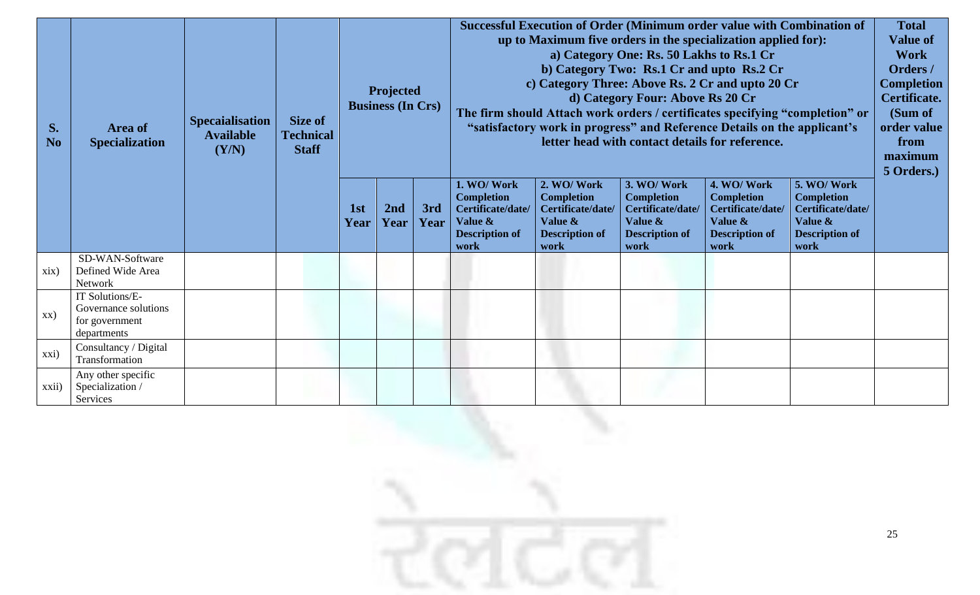|                   |                                         |                        |                  |                                       |                                                 |      |                                                               |                                                                                                                                                          | Successful Execution of Order (Minimum order value with Combination of |                                 |                                 | <b>Total</b> |
|-------------------|-----------------------------------------|------------------------|------------------|---------------------------------------|-------------------------------------------------|------|---------------------------------------------------------------|----------------------------------------------------------------------------------------------------------------------------------------------------------|------------------------------------------------------------------------|---------------------------------|---------------------------------|--------------|
|                   |                                         |                        |                  |                                       |                                                 |      | up to Maximum five orders in the specialization applied for): | <b>Value of</b>                                                                                                                                          |                                                                        |                                 |                                 |              |
|                   |                                         |                        |                  |                                       |                                                 |      |                                                               |                                                                                                                                                          | a) Category One: Rs. 50 Lakhs to Rs.1 Cr                               |                                 |                                 | <b>Work</b>  |
|                   |                                         |                        |                  |                                       |                                                 |      |                                                               |                                                                                                                                                          | b) Category Two: Rs.1 Cr and upto Rs.2 Cr                              |                                 |                                 | Orders /     |
|                   |                                         |                        |                  |                                       |                                                 |      |                                                               | c) Category Three: Above Rs. 2 Cr and upto 20 Cr                                                                                                         |                                                                        |                                 | <b>Completion</b>               |              |
|                   |                                         |                        |                  | Projected<br><b>Business (In Crs)</b> |                                                 |      |                                                               |                                                                                                                                                          | d) Category Four: Above Rs 20 Cr                                       |                                 |                                 | Certificate. |
|                   |                                         |                        |                  |                                       |                                                 |      |                                                               |                                                                                                                                                          |                                                                        |                                 |                                 | (Sum of      |
| S.                | Area of                                 | <b>Specaialisation</b> | Size of          |                                       |                                                 |      |                                                               | The firm should Attach work orders / certificates specifying "completion" or<br>"satisfactory work in progress" and Reference Details on the applicant's |                                                                        |                                 |                                 |              |
| <b>No</b>         | <b>Specialization</b>                   | <b>Available</b>       | <b>Technical</b> |                                       | letter head with contact details for reference. |      |                                                               |                                                                                                                                                          |                                                                        |                                 |                                 |              |
|                   |                                         | (Y/N)                  | <b>Staff</b>     |                                       |                                                 |      |                                                               |                                                                                                                                                          |                                                                        |                                 |                                 | maximum      |
|                   |                                         |                        |                  |                                       |                                                 |      |                                                               |                                                                                                                                                          |                                                                        |                                 |                                 | 5 Orders.)   |
|                   |                                         |                        |                  |                                       |                                                 |      | 1. WO/Work<br><b>Completion</b>                               | 2. WO/Work<br><b>Completion</b>                                                                                                                          | 3. WO/Work<br><b>Completion</b>                                        | 4. WO/Work<br><b>Completion</b> | 5. WO/Work<br><b>Completion</b> |              |
|                   |                                         |                        |                  | 1st                                   | 2nd                                             | 3rd  | Certificate/date/                                             | Certificate/date/                                                                                                                                        | Certificate/date/                                                      | Certificate/date/               | Certificate/date/               |              |
|                   |                                         |                        |                  | Year                                  | Year                                            | Year | Value &                                                       | Value &                                                                                                                                                  | Value &                                                                | Value &                         | Value &                         |              |
|                   |                                         |                        |                  |                                       |                                                 |      | <b>Description of</b>                                         | <b>Description of</b>                                                                                                                                    | <b>Description of</b>                                                  | <b>Description of</b>           | <b>Description of</b>           |              |
|                   | SD-WAN-Software                         |                        |                  |                                       |                                                 |      | work                                                          | work                                                                                                                                                     | work                                                                   | work                            | work                            |              |
| xix)              | Defined Wide Area                       |                        |                  |                                       |                                                 |      |                                                               |                                                                                                                                                          |                                                                        |                                 |                                 |              |
|                   | Network                                 |                        |                  |                                       |                                                 |      |                                                               |                                                                                                                                                          |                                                                        |                                 |                                 |              |
|                   | IT Solutions/E-                         |                        |                  |                                       |                                                 |      |                                                               |                                                                                                                                                          |                                                                        |                                 |                                 |              |
| XX)               | Governance solutions                    |                        |                  |                                       |                                                 |      |                                                               |                                                                                                                                                          |                                                                        |                                 |                                 |              |
|                   | for government                          |                        |                  |                                       |                                                 |      |                                                               |                                                                                                                                                          |                                                                        |                                 |                                 |              |
|                   | departments                             |                        |                  |                                       |                                                 |      |                                                               |                                                                                                                                                          |                                                                        |                                 |                                 |              |
| xxi)              | Consultancy / Digital<br>Transformation |                        |                  |                                       |                                                 |      |                                                               |                                                                                                                                                          |                                                                        |                                 |                                 |              |
|                   | Any other specific                      |                        |                  |                                       |                                                 |      |                                                               |                                                                                                                                                          |                                                                        |                                 |                                 |              |
| $\overline{xxii}$ | Specialization /                        |                        |                  |                                       |                                                 |      |                                                               |                                                                                                                                                          |                                                                        |                                 |                                 |              |
|                   | Services                                |                        |                  |                                       |                                                 |      |                                                               |                                                                                                                                                          |                                                                        |                                 |                                 |              |

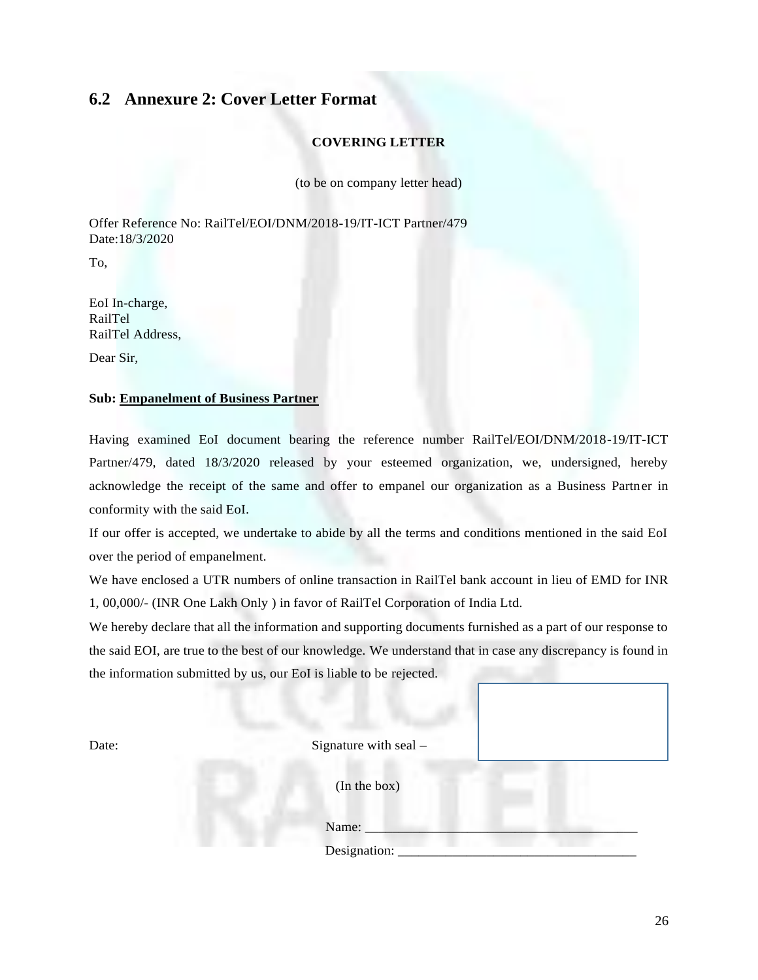#### **6.2 Annexure 2: Cover Letter Format**

#### **COVERING LETTER**

(to be on company letter head)

Offer Reference No: RailTel/EOI/DNM/2018-19/IT-ICT Partner/479 Date:18/3/2020

To,

EoI In-charge, RailTel RailTel Address,

Dear Sir,

#### **Sub: Empanelment of Business Partner**

Having examined EoI document bearing the reference number RailTel/EOI/DNM/2018-19/IT-ICT Partner/479, dated 18/3/2020 released by your esteemed organization, we, undersigned, hereby acknowledge the receipt of the same and offer to empanel our organization as a Business Partner in conformity with the said EoI.

If our offer is accepted, we undertake to abide by all the terms and conditions mentioned in the said EoI over the period of empanelment.

We have enclosed a UTR numbers of online transaction in RailTel bank account in lieu of EMD for INR 1, 00,000/- (INR One Lakh Only ) in favor of RailTel Corporation of India Ltd.

We hereby declare that all the information and supporting documents furnished as a part of our response to the said EOI, are true to the best of our knowledge. We understand that in case any discrepancy is found in the information submitted by us, our EoI is liable to be rejected.

Date: Signature with seal –

(In the box)

Name:

Designation: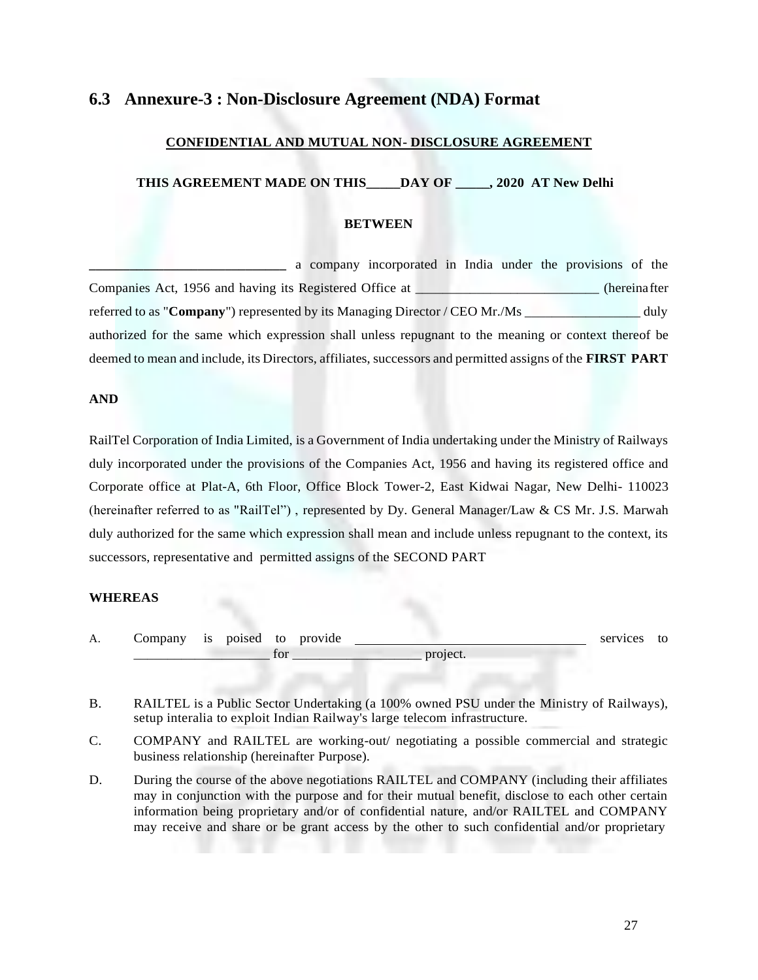#### **6.3 Annexure-3 : Non-Disclosure Agreement (NDA) Format**

#### **CONFIDENTIAL AND MUTUAL NON- DISCLOSURE AGREEMENT**

#### **THIS AGREEMENT MADE ON THIS\_\_\_\_\_DAY OF \_\_\_\_\_, 2020 AT New Delhi**

#### **BETWEEN**

**\_\_\_\_\_\_\_\_\_\_\_\_\_\_\_\_\_\_\_\_\_\_\_\_\_\_\_\_\_** a company incorporated in India under the provisions of the Companies Act, 1956 and having its Registered Office at **the example of the example of the example of the example of the example of the example of the example of the example of the example of the example of the example of** referred to as "**Company**") represented by its Managing Director / CEO Mr./Ms duly authorized for the same which expression shall unless repugnant to the meaning or context thereof be deemed to mean and include, its Directors, affiliates, successors and permitted assigns of the **FIRST PART**

#### **AND**

RailTel Corporation of India Limited, is a Government of India undertaking under the Ministry of Railways duly incorporated under the provisions of the Companies Act, 1956 and having its registered office and Corporate office at Plat-A, 6th Floor, Office Block Tower-2, East Kidwai Nagar, New Delhi- 110023 (hereinafter referred to as "RailTel") , represented by Dy. General Manager/Law & CS Mr. J.S. Marwah duly authorized for the same which expression shall mean and include unless repugnant to the context, its successors, representative and permitted assigns of the SECOND PART

#### **WHEREAS**

| А. | ____          | 1S | 'nΩ | tc<br>$ -$ | w |                  | ົ<br>. | ື<br>$ -$ |
|----|---------------|----|-----|------------|---|------------------|--------|-----------|
|    | $\sim$ $\sim$ |    |     | $\cdot$ .  |   | ________________ |        |           |

- B. RAILTEL is a Public Sector Undertaking (a 100% owned PSU under the Ministry of Railways), setup interalia to exploit Indian Railway's large telecom infrastructure.
- C. COMPANY and RAILTEL are working-out/ negotiating a possible commercial and strategic business relationship (hereinafter Purpose).
- D. During the course of the above negotiations RAILTEL and COMPANY (including their affiliates may in conjunction with the purpose and for their mutual benefit, disclose to each other certain information being proprietary and/or of confidential nature, and/or RAILTEL and COMPANY may receive and share or be grant access by the other to such confidential and/or proprietary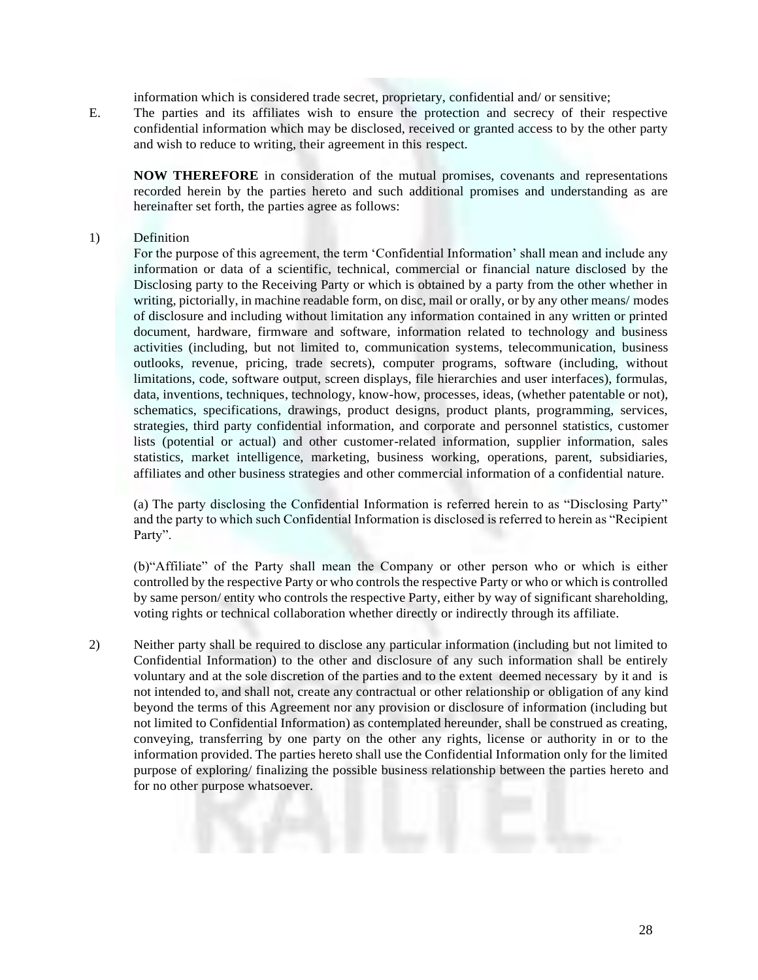information which is considered trade secret, proprietary, confidential and/ or sensitive;

E. The parties and its affiliates wish to ensure the protection and secrecy of their respective confidential information which may be disclosed, received or granted access to by the other party and wish to reduce to writing, their agreement in this respect.

**NOW THEREFORE** in consideration of the mutual promises, covenants and representations recorded herein by the parties hereto and such additional promises and understanding as are hereinafter set forth, the parties agree as follows:

#### 1) Definition

For the purpose of this agreement, the term 'Confidential Information' shall mean and include any information or data of a scientific, technical, commercial or financial nature disclosed by the Disclosing party to the Receiving Party or which is obtained by a party from the other whether in writing, pictorially, in machine readable form, on disc, mail or orally, or by any other means/ modes of disclosure and including without limitation any information contained in any written or printed document, hardware, firmware and software, information related to technology and business activities (including, but not limited to, communication systems, telecommunication, business outlooks, revenue, pricing, trade secrets), computer programs, software (including, without limitations, code, software output, screen displays, file hierarchies and user interfaces), formulas, data, inventions, techniques, technology, know-how, processes, ideas, (whether patentable or not), schematics, specifications, drawings, product designs, product plants, programming, services, strategies, third party confidential information, and corporate and personnel statistics, customer lists (potential or actual) and other customer-related information, supplier information, sales statistics, market intelligence, marketing, business working, operations, parent, subsidiaries, affiliates and other business strategies and other commercial information of a confidential nature.

(a) The party disclosing the Confidential Information is referred herein to as "Disclosing Party" and the party to which such Confidential Information is disclosed is referred to herein as "Recipient Party".

(b)"Affiliate" of the Party shall mean the Company or other person who or which is either controlled by the respective Party or who controls the respective Party or who or which is controlled by same person/ entity who controls the respective Party, either by way of significant shareholding, voting rights or technical collaboration whether directly or indirectly through its affiliate.

2) Neither party shall be required to disclose any particular information (including but not limited to Confidential Information) to the other and disclosure of any such information shall be entirely voluntary and at the sole discretion of the parties and to the extent deemed necessary by it and is not intended to, and shall not, create any contractual or other relationship or obligation of any kind beyond the terms of this Agreement nor any provision or disclosure of information (including but not limited to Confidential Information) as contemplated hereunder, shall be construed as creating, conveying, transferring by one party on the other any rights, license or authority in or to the information provided. The parties hereto shall use the Confidential Information only for the limited purpose of exploring/ finalizing the possible business relationship between the parties hereto and for no other purpose whatsoever.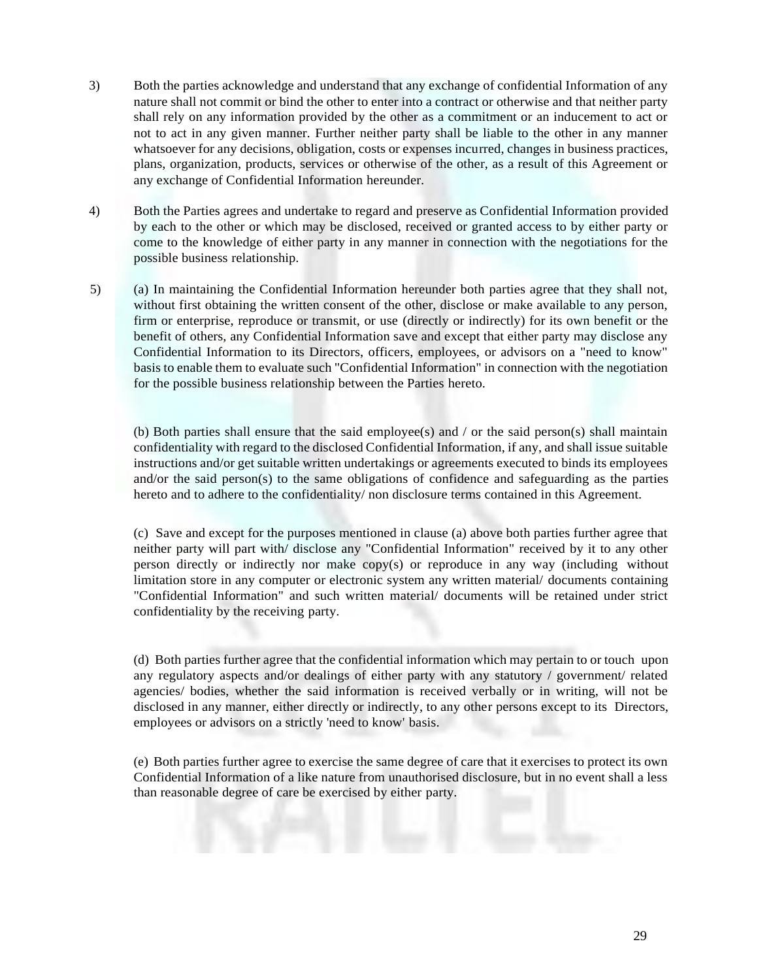- 3) Both the parties acknowledge and understand that any exchange of confidential Information of any nature shall not commit or bind the other to enter into a contract or otherwise and that neither party shall rely on any information provided by the other as a commitment or an inducement to act or not to act in any given manner. Further neither party shall be liable to the other in any manner whatsoever for any decisions, obligation, costs or expenses incurred, changes in business practices, plans, organization, products, services or otherwise of the other, as a result of this Agreement or any exchange of Confidential Information hereunder.
- 4) Both the Parties agrees and undertake to regard and preserve as Confidential Information provided by each to the other or which may be disclosed, received or granted access to by either party or come to the knowledge of either party in any manner in connection with the negotiations for the possible business relationship.
- 5) (a) In maintaining the Confidential Information hereunder both parties agree that they shall not, without first obtaining the written consent of the other, disclose or make available to any person, firm or enterprise, reproduce or transmit, or use (directly or indirectly) for its own benefit or the benefit of others, any Confidential Information save and except that either party may disclose any Confidential Information to its Directors, officers, employees, or advisors on a "need to know" basis to enable them to evaluate such "Confidential Information" in connection with the negotiation for the possible business relationship between the Parties hereto.

(b) Both parties shall ensure that the said employee(s) and  $\prime$  or the said person(s) shall maintain confidentiality with regard to the disclosed Confidential Information, if any, and shall issue suitable instructions and/or get suitable written undertakings or agreements executed to binds its employees and/or the said person(s) to the same obligations of confidence and safeguarding as the parties hereto and to adhere to the confidentiality/ non disclosure terms contained in this Agreement.

(c) Save and except for the purposes mentioned in clause (a) above both parties further agree that neither party will part with/ disclose any "Confidential Information" received by it to any other person directly or indirectly nor make copy(s) or reproduce in any way (including without limitation store in any computer or electronic system any written material/ documents containing "Confidential Information" and such written material/ documents will be retained under strict confidentiality by the receiving party.

(d) Both parties further agree that the confidential information which may pertain to or touch upon any regulatory aspects and/or dealings of either party with any statutory / government/ related agencies/ bodies, whether the said information is received verbally or in writing, will not be disclosed in any manner, either directly or indirectly, to any other persons except to its Directors, employees or advisors on a strictly 'need to know' basis.

(e) Both parties further agree to exercise the same degree of care that it exercises to protect its own Confidential Information of a like nature from unauthorised disclosure, but in no event shall a less than reasonable degree of care be exercised by either party.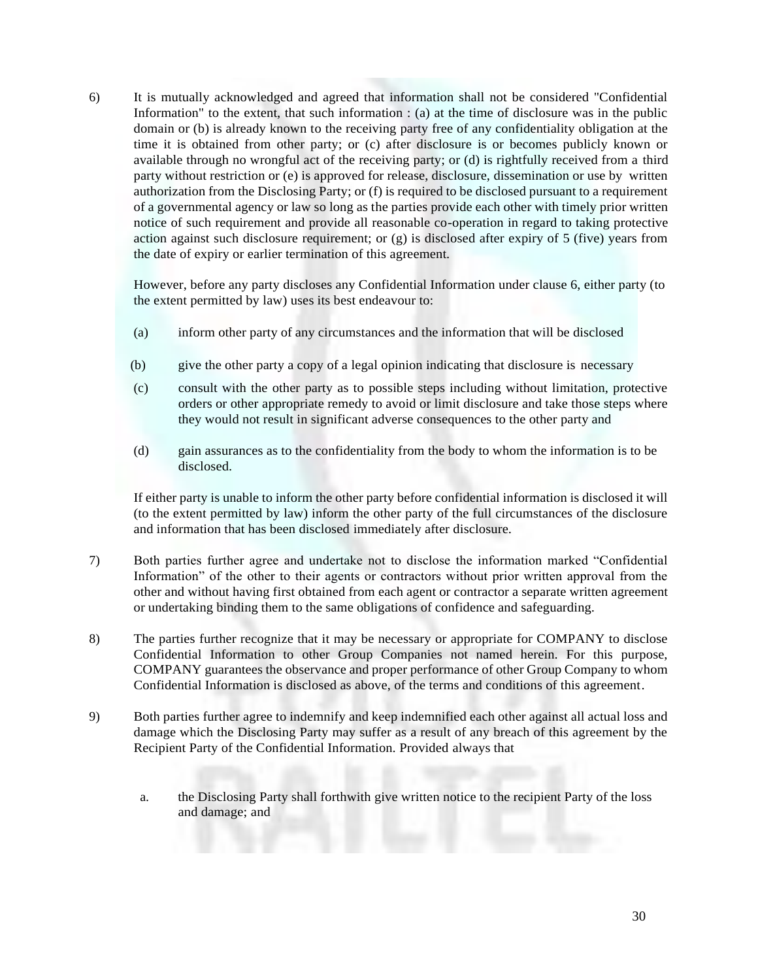6) It is mutually acknowledged and agreed that information shall not be considered "Confidential Information" to the extent, that such information : (a) at the time of disclosure was in the public domain or (b) is already known to the receiving party free of any confidentiality obligation at the time it is obtained from other party; or (c) after disclosure is or becomes publicly known or available through no wrongful act of the receiving party; or (d) is rightfully received from a third party without restriction or (e) is approved for release, disclosure, dissemination or use by written authorization from the Disclosing Party; or (f) is required to be disclosed pursuant to a requirement of a governmental agency or law so long as the parties provide each other with timely prior written notice of such requirement and provide all reasonable co-operation in regard to taking protective action against such disclosure requirement; or  $(g)$  is disclosed after expiry of 5 (five) years from the date of expiry or earlier termination of this agreement.

However, before any party discloses any Confidential Information under clause 6, either party (to the extent permitted by law) uses its best endeavour to:

- (a) inform other party of any circumstances and the information that will be disclosed
- (b) give the other party a copy of a legal opinion indicating that disclosure is necessary
- (c) consult with the other party as to possible steps including without limitation, protective orders or other appropriate remedy to avoid or limit disclosure and take those steps where they would not result in significant adverse consequences to the other party and
- (d) gain assurances as to the confidentiality from the body to whom the information is to be disclosed.

If either party is unable to inform the other party before confidential information is disclosed it will (to the extent permitted by law) inform the other party of the full circumstances of the disclosure and information that has been disclosed immediately after disclosure.

- 7) Both parties further agree and undertake not to disclose the information marked "Confidential Information" of the other to their agents or contractors without prior written approval from the other and without having first obtained from each agent or contractor a separate written agreement or undertaking binding them to the same obligations of confidence and safeguarding.
- 8) The parties further recognize that it may be necessary or appropriate for COMPANY to disclose Confidential Information to other Group Companies not named herein. For this purpose, COMPANY guarantees the observance and proper performance of other Group Company to whom Confidential Information is disclosed as above, of the terms and conditions of this agreement.
- 9) Both parties further agree to indemnify and keep indemnified each other against all actual loss and damage which the Disclosing Party may suffer as a result of any breach of this agreement by the Recipient Party of the Confidential Information. Provided always that
	- a. the Disclosing Party shall forthwith give written notice to the recipient Party of the loss and damage; and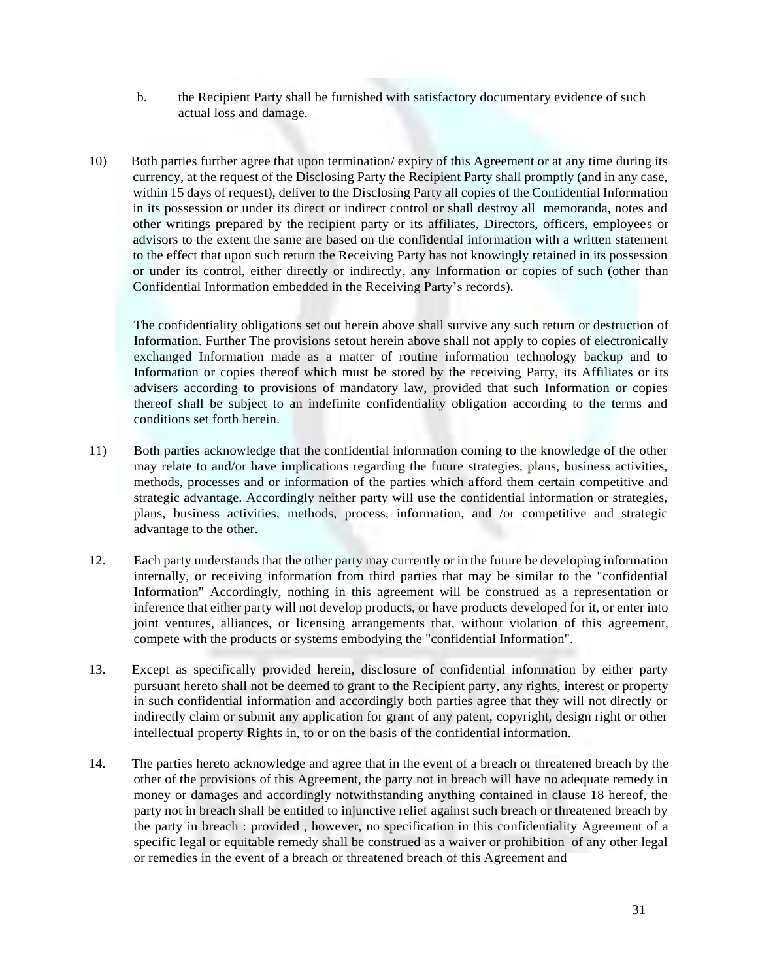- b. the Recipient Party shall be furnished with satisfactory documentary evidence of such actual loss and damage.
- 10) Both parties further agree that upon termination/ expiry of this Agreement or at any time during its currency, at the request of the Disclosing Party the Recipient Party shall promptly (and in any case, within 15 days of request), deliver to the Disclosing Party all copies of the Confidential Information in its possession or under its direct or indirect control or shall destroy all memoranda, notes and other writings prepared by the recipient party or its affiliates, Directors, officers, employees or advisors to the extent the same are based on the confidential information with a written statement to the effect that upon such return the Receiving Party has not knowingly retained in its possession or under its control, either directly or indirectly, any Information or copies of such (other than Confidential Information embedded in the Receiving Party's records).

The confidentiality obligations set out herein above shall survive any such return or destruction of Information. Further The provisions setout herein above shall not apply to copies of electronically exchanged Information made as a matter of routine information technology backup and to Information or copies thereof which must be stored by the receiving Party, its Affiliates or its advisers according to provisions of mandatory law, provided that such Information or copies thereof shall be subject to an indefinite confidentiality obligation according to the terms and conditions set forth herein.

- 11) Both parties acknowledge that the confidential information coming to the knowledge of the other may relate to and/or have implications regarding the future strategies, plans, business activities, methods, processes and or information of the parties which afford them certain competitive and strategic advantage. Accordingly neither party will use the confidential information or strategies, plans, business activities, methods, process, information, and /or competitive and strategic advantage to the other.
- 12. Each party understands that the other party may currently or in the future be developing information internally, or receiving information from third parties that may be similar to the "confidential Information" Accordingly, nothing in this agreement will be construed as a representation or inference that either party will not develop products, or have products developed for it, or enter into joint ventures, alliances, or licensing arrangements that, without violation of this agreement, compete with the products or systems embodying the "confidential Information".
- 13. Except as specifically provided herein, disclosure of confidential information by either party pursuant hereto shall not be deemed to grant to the Recipient party, any rights, interest or property in such confidential information and accordingly both parties agree that they will not directly or indirectly claim or submit any application for grant of any patent, copyright, design right or other intellectual property Rights in, to or on the basis of the confidential information.
- 14. The parties hereto acknowledge and agree that in the event of a breach or threatened breach by the other of the provisions of this Agreement, the party not in breach will have no adequate remedy in money or damages and accordingly notwithstanding anything contained in clause 18 hereof, the party not in breach shall be entitled to injunctive relief against such breach or threatened breach by the party in breach : provided , however, no specification in this confidentiality Agreement of a specific legal or equitable remedy shall be construed as a waiver or prohibition of any other legal or remedies in the event of a breach or threatened breach of this Agreement and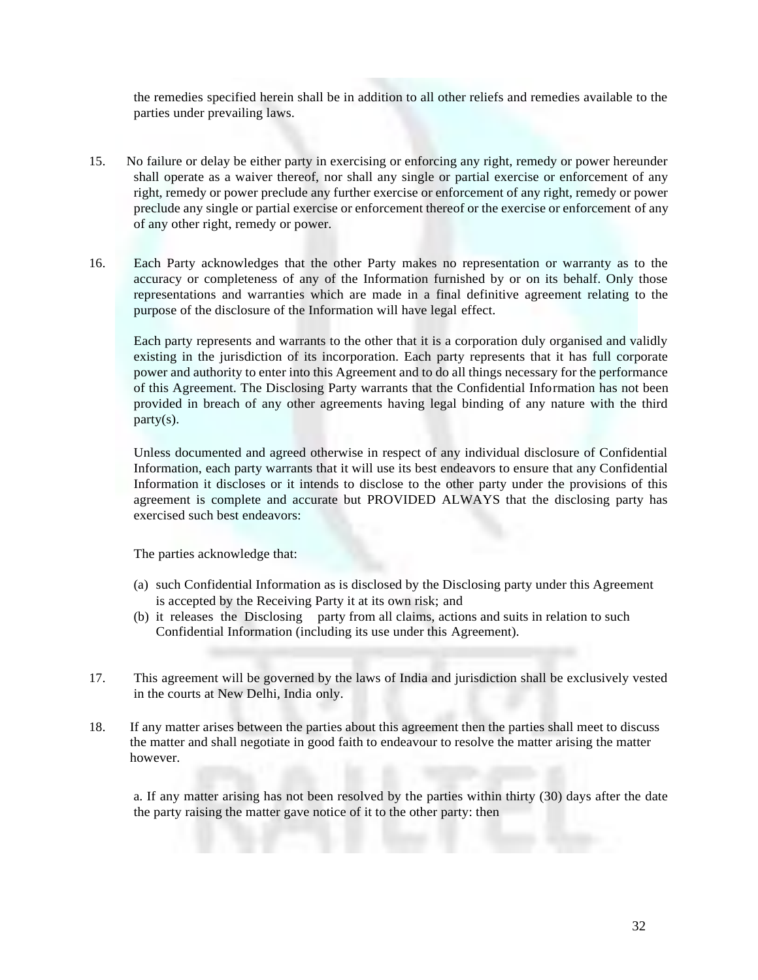the remedies specified herein shall be in addition to all other reliefs and remedies available to the parties under prevailing laws.

- 15. No failure or delay be either party in exercising or enforcing any right, remedy or power hereunder shall operate as a waiver thereof, nor shall any single or partial exercise or enforcement of any right, remedy or power preclude any further exercise or enforcement of any right, remedy or power preclude any single or partial exercise or enforcement thereof or the exercise or enforcement of any of any other right, remedy or power.
- 16. Each Party acknowledges that the other Party makes no representation or warranty as to the accuracy or completeness of any of the Information furnished by or on its behalf. Only those representations and warranties which are made in a final definitive agreement relating to the purpose of the disclosure of the Information will have legal effect.

Each party represents and warrants to the other that it is a corporation duly organised and validly existing in the jurisdiction of its incorporation. Each party represents that it has full corporate power and authority to enter into this Agreement and to do all things necessary for the performance of this Agreement. The Disclosing Party warrants that the Confidential Information has not been provided in breach of any other agreements having legal binding of any nature with the third party(s).

Unless documented and agreed otherwise in respect of any individual disclosure of Confidential Information, each party warrants that it will use its best endeavors to ensure that any Confidential Information it discloses or it intends to disclose to the other party under the provisions of this agreement is complete and accurate but PROVIDED ALWAYS that the disclosing party has exercised such best endeavors:

The parties acknowledge that:

- (a) such Confidential Information as is disclosed by the Disclosing party under this Agreement is accepted by the Receiving Party it at its own risk; and
- (b) it releases the Disclosing party from all claims, actions and suits in relation to such Confidential Information (including its use under this Agreement).
- 17. This agreement will be governed by the laws of India and jurisdiction shall be exclusively vested in the courts at New Delhi, India only.
- 18. If any matter arises between the parties about this agreement then the parties shall meet to discuss the matter and shall negotiate in good faith to endeavour to resolve the matter arising the matter however.

a. If any matter arising has not been resolved by the parties within thirty (30) days after the date the party raising the matter gave notice of it to the other party: then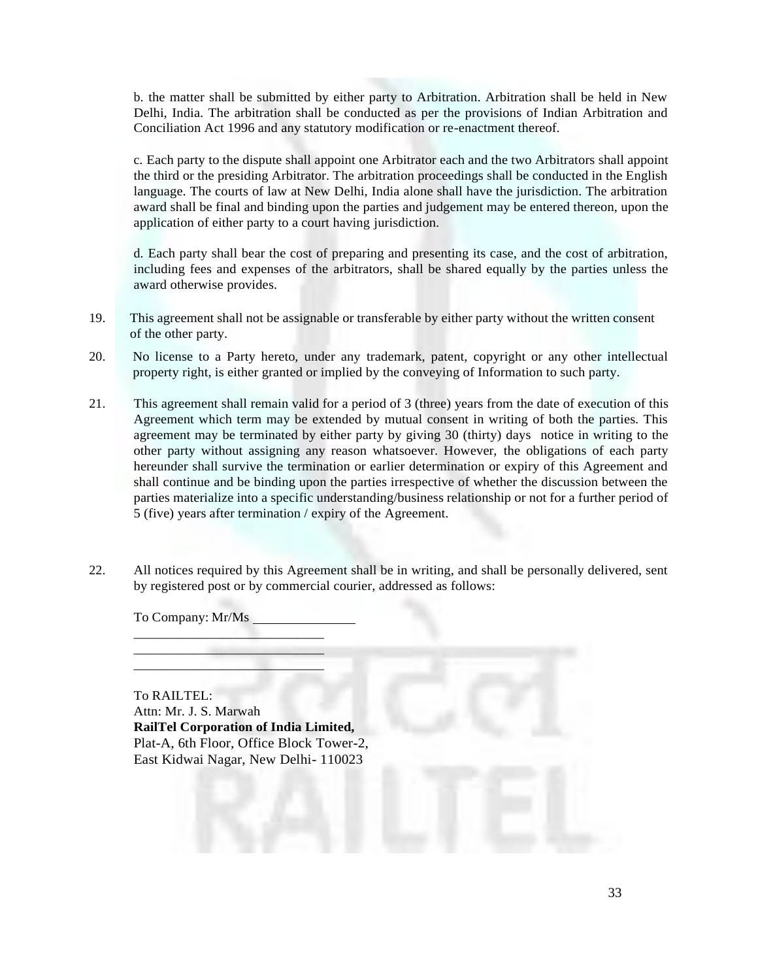b. the matter shall be submitted by either party to Arbitration. Arbitration shall be held in New Delhi, India. The arbitration shall be conducted as per the provisions of Indian Arbitration and Conciliation Act 1996 and any statutory modification or re-enactment thereof.

c. Each party to the dispute shall appoint one Arbitrator each and the two Arbitrators shall appoint the third or the presiding Arbitrator. The arbitration proceedings shall be conducted in the English language. The courts of law at New Delhi, India alone shall have the jurisdiction. The arbitration award shall be final and binding upon the parties and judgement may be entered thereon, upon the application of either party to a court having jurisdiction.

d. Each party shall bear the cost of preparing and presenting its case, and the cost of arbitration, including fees and expenses of the arbitrators, shall be shared equally by the parties unless the award otherwise provides.

- 19. This agreement shall not be assignable or transferable by either party without the written consent of the other party.
- 20. No license to a Party hereto, under any trademark, patent, copyright or any other intellectual property right, is either granted or implied by the conveying of Information to such party.
- 21. This agreement shall remain valid for a period of 3 (three) years from the date of execution of this Agreement which term may be extended by mutual consent in writing of both the parties. This agreement may be terminated by either party by giving 30 (thirty) days notice in writing to the other party without assigning any reason whatsoever. However, the obligations of each party hereunder shall survive the termination or earlier determination or expiry of this Agreement and shall continue and be binding upon the parties irrespective of whether the discussion between the parties materialize into a specific understanding/business relationship or not for a further period of 5 (five) years after termination / expiry of the Agreement.
- 22. All notices required by this Agreement shall be in writing, and shall be personally delivered, sent by registered post or by commercial courier, addressed as follows:

To Company: Mr/Ms

\_\_\_\_\_\_\_\_\_\_\_\_\_\_\_\_\_\_\_\_\_\_\_\_\_\_\_\_ \_\_\_\_\_\_\_\_\_\_\_\_\_\_\_\_\_\_\_\_\_\_\_\_\_\_\_\_ \_\_\_\_\_\_\_\_\_\_\_\_\_\_\_\_\_\_\_\_\_\_\_\_\_\_\_\_

To RAILTEL: Attn: Mr. J. S. Marwah **RailTel Corporation of India Limited,** Plat-A, 6th Floor, Office Block Tower-2, East Kidwai Nagar, New Delhi- 110023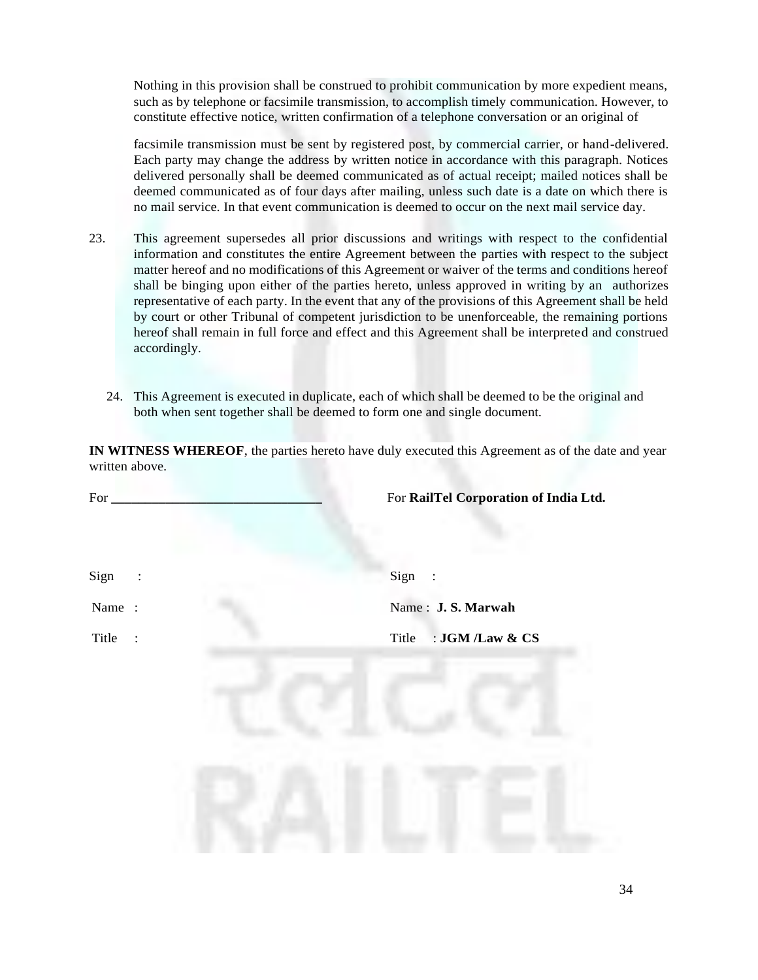Nothing in this provision shall be construed to prohibit communication by more expedient means, such as by telephone or facsimile transmission, to accomplish timely communication. However, to constitute effective notice, written confirmation of a telephone conversation or an original of

facsimile transmission must be sent by registered post, by commercial carrier, or hand-delivered. Each party may change the address by written notice in accordance with this paragraph. Notices delivered personally shall be deemed communicated as of actual receipt; mailed notices shall be deemed communicated as of four days after mailing, unless such date is a date on which there is no mail service. In that event communication is deemed to occur on the next mail service day.

- 23. This agreement supersedes all prior discussions and writings with respect to the confidential information and constitutes the entire Agreement between the parties with respect to the subject matter hereof and no modifications of this Agreement or waiver of the terms and conditions hereof shall be binging upon either of the parties hereto, unless approved in writing by an authorizes representative of each party. In the event that any of the provisions of this Agreement shall be held by court or other Tribunal of competent jurisdiction to be unenforceable, the remaining portions hereof shall remain in full force and effect and this Agreement shall be interpreted and construed accordingly.
	- 24. This Agreement is executed in duplicate, each of which shall be deemed to be the original and both when sent together shall be deemed to form one and single document.

**IN WITNESS WHEREOF**, the parties hereto have duly executed this Agreement as of the date and year written above.

| For $_{-}$       | For RailTel Corporation of India Ltd. |
|------------------|---------------------------------------|
|                  |                                       |
| Sign<br>$\sim 1$ | Sign:                                 |
| Name:            | Name: J.S. Marwah                     |
| Title            | : JGM /Law & CS<br>Title              |
|                  |                                       |
|                  |                                       |
|                  |                                       |
|                  |                                       |
|                  |                                       |
|                  |                                       |
|                  |                                       |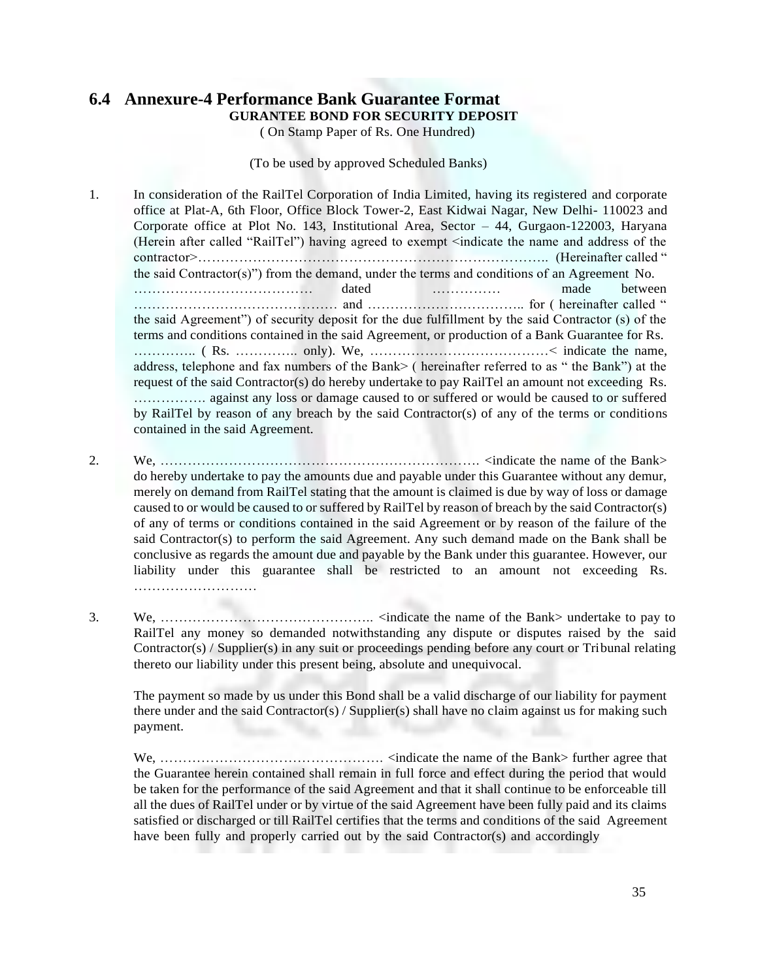#### **6.4 Annexure-4 Performance Bank Guarantee Format GURANTEE BOND FOR SECURITY DEPOSIT**

( On Stamp Paper of Rs. One Hundred)

(To be used by approved Scheduled Banks)

1. In consideration of the RailTel Corporation of India Limited, having its registered and corporate office at Plat-A, 6th Floor, Office Block Tower-2, East Kidwai Nagar, New Delhi- 110023 and Corporate office at Plot No. 143, Institutional Area, Sector – 44, Gurgaon-122003, Haryana (Herein after called "RailTel") having agreed to exempt <indicate the name and address of the contractor>………………………………………………………………….. (Hereinafter called " the said Contractor(s)") from the demand, under the terms and conditions of an Agreement No. ………………………………… dated …………… made between ……………………………………… and …………………………….. for ( hereinafter called " the said Agreement") of security deposit for the due fulfillment by the said Contractor (s) of the terms and conditions contained in the said Agreement, or production of a Bank Guarantee for Rs. ………….. ( Rs. ………….. only). We, …………………………………< indicate the name, address, telephone and fax numbers of the Bank> ( hereinafter referred to as " the Bank") at the request of the said Contractor(s) do hereby undertake to pay RailTel an amount not exceeding Rs. ……………. against any loss or damage caused to or suffered or would be caused to or suffered by RailTel by reason of any breach by the said Contractor(s) of any of the terms or conditions contained in the said Agreement.

- 2. We, ……………………………………………………………. <indicate the name of the Bank> do hereby undertake to pay the amounts due and payable under this Guarantee without any demur, merely on demand from RailTel stating that the amount is claimed is due by way of loss or damage caused to or would be caused to or suffered by RailTel by reason of breach by the said Contractor(s) of any of terms or conditions contained in the said Agreement or by reason of the failure of the said Contractor(s) to perform the said Agreement. Any such demand made on the Bank shall be conclusive as regards the amount due and payable by the Bank under this guarantee. However, our liability under this guarantee shall be restricted to an amount not exceeding Rs. ………………………
- 3. We, ……………………………………….. <indicate the name of the Bank> undertake to pay to RailTel any money so demanded notwithstanding any dispute or disputes raised by the said Contractor(s) / Supplier(s) in any suit or proceedings pending before any court or Tribunal relating thereto our liability under this present being, absolute and unequivocal.

The payment so made by us under this Bond shall be a valid discharge of our liability for payment there under and the said Contractor(s) / Supplier(s) shall have no claim against us for making such payment.

We, …………………………………………. <indicate the name of the Bank> further agree that the Guarantee herein contained shall remain in full force and effect during the period that would be taken for the performance of the said Agreement and that it shall continue to be enforceable till all the dues of RailTel under or by virtue of the said Agreement have been fully paid and its claims satisfied or discharged or till RailTel certifies that the terms and conditions of the said Agreement have been fully and properly carried out by the said Contractor(s) and accordingly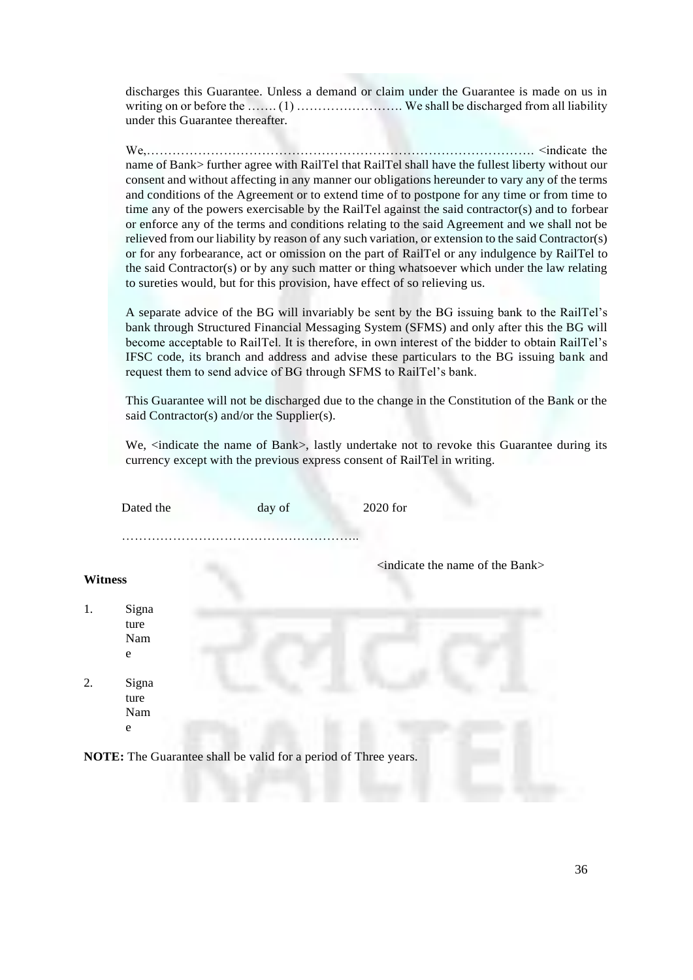discharges this Guarantee. Unless a demand or claim under the Guarantee is made on us in writing on or before the ……. (1) ……………………. We shall be discharged from all liability under this Guarantee thereafter.

We,………………………………………………………………………………. <indicate the name of Bank> further agree with RailTel that RailTel shall have the fullest liberty without our consent and without affecting in any manner our obligations hereunder to vary any of the terms and conditions of the Agreement or to extend time of to postpone for any time or from time to time any of the powers exercisable by the RailTel against the said contractor(s) and to forbear or enforce any of the terms and conditions relating to the said Agreement and we shall not be relieved from our liability by reason of any such variation, or extension to the said Contractor(s) or for any forbearance, act or omission on the part of RailTel or any indulgence by RailTel to the said Contractor(s) or by any such matter or thing whatsoever which under the law relating to sureties would, but for this provision, have effect of so relieving us.

A separate advice of the BG will invariably be sent by the BG issuing bank to the RailTel's bank through Structured Financial Messaging System (SFMS) and only after this the BG will become acceptable to RailTel. It is therefore, in own interest of the bidder to obtain RailTel's IFSC code, its branch and address and advise these particulars to the BG issuing bank and request them to send advice of BG through SFMS to RailTel's bank.

This Guarantee will not be discharged due to the change in the Constitution of the Bank or the said Contractor(s) and/or the Supplier(s).

We, <indicate the name of Bank>, lastly undertake not to revoke this Guarantee during its currency except with the previous express consent of RailTel in writing.

|                | Dated the     | day of                                                                 | 2020 for                                           |
|----------------|---------------|------------------------------------------------------------------------|----------------------------------------------------|
|                |               |                                                                        |                                                    |
|                |               |                                                                        | <indicate bank="" name="" of="" the=""></indicate> |
| <b>Witness</b> |               |                                                                        |                                                    |
| 1.             | Signa<br>ture |                                                                        |                                                    |
|                | Nam<br>e      |                                                                        |                                                    |
| 2.             | Signa<br>ture |                                                                        |                                                    |
|                | Nam           |                                                                        |                                                    |
|                | e             |                                                                        |                                                    |
|                |               | <b>NOTE:</b> The Guarantee shall be valid for a period of Three years. |                                                    |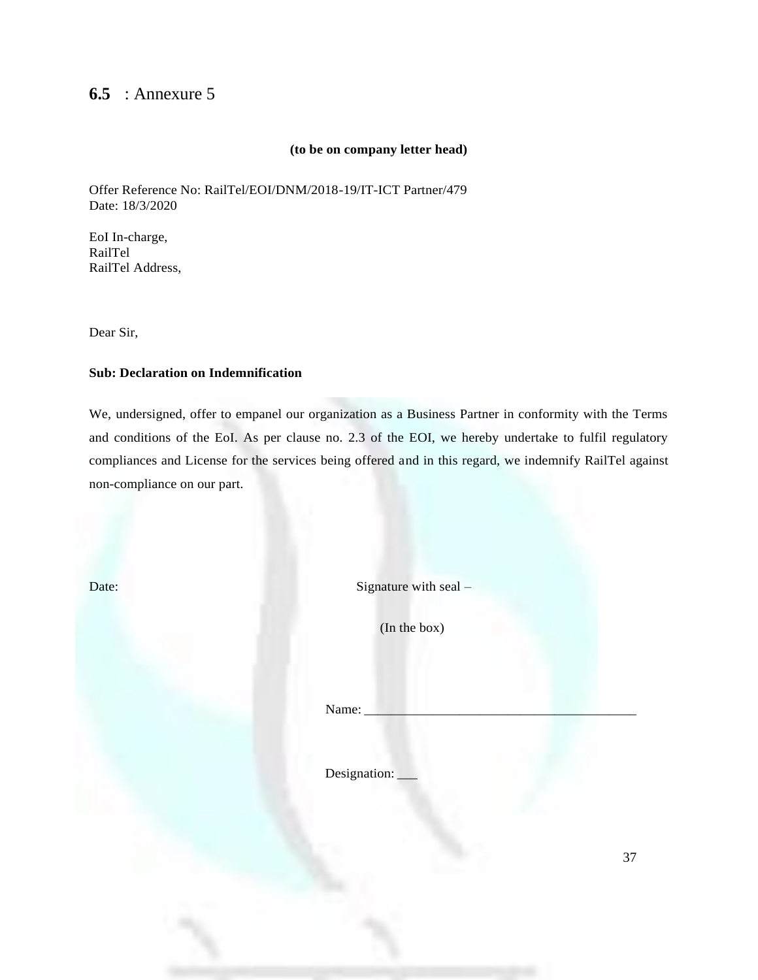#### **6.5** : Annexure 5

#### **(to be on company letter head)**

Offer Reference No: RailTel/EOI/DNM/2018-19/IT-ICT Partner/479 Date: 18/3/2020

EoI In-charge, RailTel RailTel Address,

Dear Sir,

#### **Sub: Declaration on Indemnification**

We, undersigned, offer to empanel our organization as a Business Partner in conformity with the Terms and conditions of the EoI. As per clause no. 2.3 of the EOI, we hereby undertake to fulfil regulatory compliances and License for the services being offered and in this regard, we indemnify RailTel against non-compliance on our part.

Date: Signature with seal –

(In the box)

Name:

Designation: